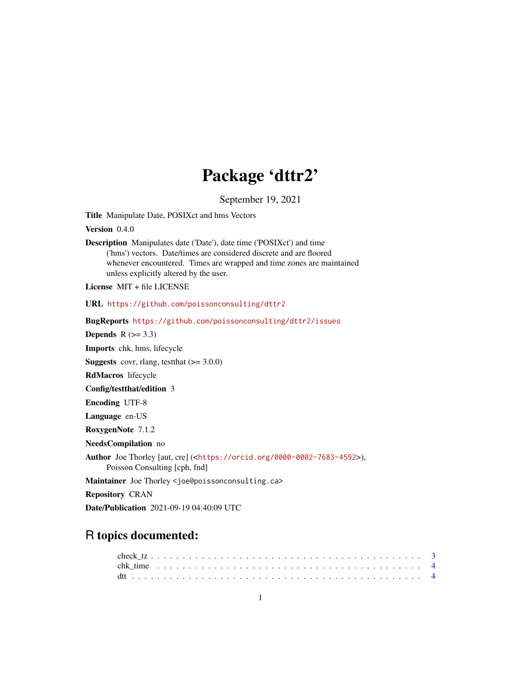# Package 'dttr2'

September 19, 2021

<span id="page-0-0"></span>Title Manipulate Date, POSIXct and hms Vectors

Version 0.4.0

Description Manipulates date ('Date'), date time ('POSIXct') and time ('hms') vectors. Date/times are considered discrete and are floored whenever encountered. Times are wrapped and time zones are maintained unless explicitly altered by the user.

License MIT + file LICENSE

URL <https://github.com/poissonconsulting/dttr2>

BugReports <https://github.com/poissonconsulting/dttr2/issues> Depends  $R$  ( $>= 3.3$ ) Imports chk, hms, lifecycle **Suggests** covr, rlang, test that  $(>= 3.0.0)$ RdMacros lifecycle Config/testthat/edition 3 Encoding UTF-8 Language en-US RoxygenNote 7.1.2 NeedsCompilation no Author Joe Thorley [aut, cre] (<<https://orcid.org/0000-0002-7683-4592>>), Poisson Consulting [cph, fnd] Maintainer Joe Thorley <joe@poissonconsulting.ca> Repository CRAN

# Date/Publication 2021-09-19 04:40:09 UTC

# R topics documented: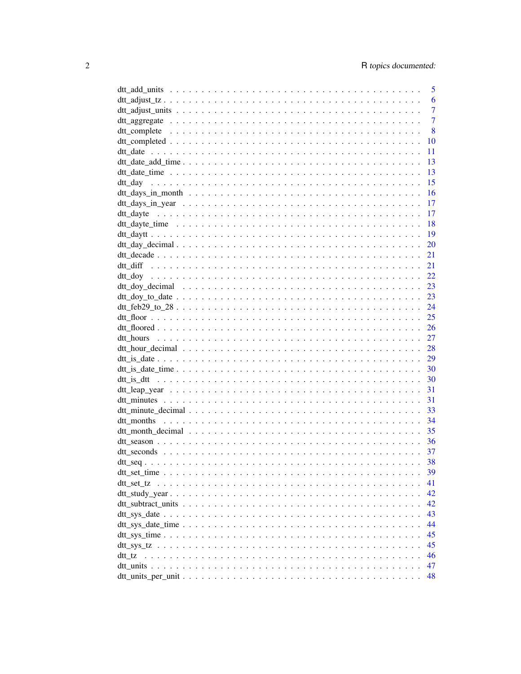|        |  |  |  |  |  |  |  |  |  |  |  |  | 5              |
|--------|--|--|--|--|--|--|--|--|--|--|--|--|----------------|
|        |  |  |  |  |  |  |  |  |  |  |  |  | 6              |
|        |  |  |  |  |  |  |  |  |  |  |  |  | $\overline{7}$ |
|        |  |  |  |  |  |  |  |  |  |  |  |  | $\overline{7}$ |
|        |  |  |  |  |  |  |  |  |  |  |  |  | 8              |
|        |  |  |  |  |  |  |  |  |  |  |  |  | 10             |
|        |  |  |  |  |  |  |  |  |  |  |  |  | 11             |
|        |  |  |  |  |  |  |  |  |  |  |  |  | 13             |
|        |  |  |  |  |  |  |  |  |  |  |  |  | 13             |
|        |  |  |  |  |  |  |  |  |  |  |  |  | 15             |
|        |  |  |  |  |  |  |  |  |  |  |  |  | 16             |
|        |  |  |  |  |  |  |  |  |  |  |  |  | 17             |
|        |  |  |  |  |  |  |  |  |  |  |  |  | 17             |
|        |  |  |  |  |  |  |  |  |  |  |  |  | 18             |
|        |  |  |  |  |  |  |  |  |  |  |  |  | 19             |
|        |  |  |  |  |  |  |  |  |  |  |  |  | 20             |
|        |  |  |  |  |  |  |  |  |  |  |  |  | 21             |
|        |  |  |  |  |  |  |  |  |  |  |  |  | 21             |
|        |  |  |  |  |  |  |  |  |  |  |  |  |                |
|        |  |  |  |  |  |  |  |  |  |  |  |  | 22             |
|        |  |  |  |  |  |  |  |  |  |  |  |  | 23             |
|        |  |  |  |  |  |  |  |  |  |  |  |  | 23             |
|        |  |  |  |  |  |  |  |  |  |  |  |  | 24             |
|        |  |  |  |  |  |  |  |  |  |  |  |  |                |
|        |  |  |  |  |  |  |  |  |  |  |  |  |                |
|        |  |  |  |  |  |  |  |  |  |  |  |  | 27             |
|        |  |  |  |  |  |  |  |  |  |  |  |  | 28             |
|        |  |  |  |  |  |  |  |  |  |  |  |  | 29             |
|        |  |  |  |  |  |  |  |  |  |  |  |  | 30             |
|        |  |  |  |  |  |  |  |  |  |  |  |  | 30             |
|        |  |  |  |  |  |  |  |  |  |  |  |  | 31             |
|        |  |  |  |  |  |  |  |  |  |  |  |  | 31             |
|        |  |  |  |  |  |  |  |  |  |  |  |  | 33             |
|        |  |  |  |  |  |  |  |  |  |  |  |  | 34             |
|        |  |  |  |  |  |  |  |  |  |  |  |  | 35             |
|        |  |  |  |  |  |  |  |  |  |  |  |  | 36             |
|        |  |  |  |  |  |  |  |  |  |  |  |  | 37             |
|        |  |  |  |  |  |  |  |  |  |  |  |  | 38             |
|        |  |  |  |  |  |  |  |  |  |  |  |  | 39             |
|        |  |  |  |  |  |  |  |  |  |  |  |  | 41             |
|        |  |  |  |  |  |  |  |  |  |  |  |  | 42             |
|        |  |  |  |  |  |  |  |  |  |  |  |  | 42             |
|        |  |  |  |  |  |  |  |  |  |  |  |  | 43             |
|        |  |  |  |  |  |  |  |  |  |  |  |  | 44             |
|        |  |  |  |  |  |  |  |  |  |  |  |  | 45             |
|        |  |  |  |  |  |  |  |  |  |  |  |  | 45             |
| dtt_tz |  |  |  |  |  |  |  |  |  |  |  |  | 46             |
|        |  |  |  |  |  |  |  |  |  |  |  |  | 47             |
|        |  |  |  |  |  |  |  |  |  |  |  |  | 48             |
|        |  |  |  |  |  |  |  |  |  |  |  |  |                |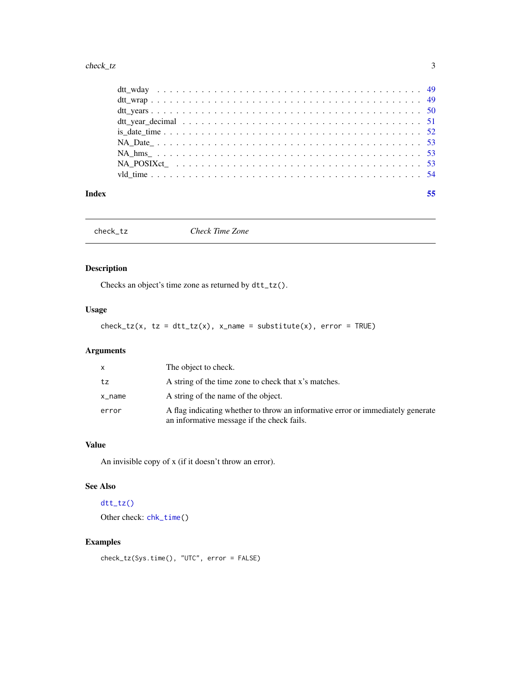#### <span id="page-2-0"></span>check\_tz 3

#### **Index** [55](#page-54-0)

<span id="page-2-1"></span>

check\_tz *Check Time Zone*

# Description

Checks an object's time zone as returned by dtt\_tz().

# Usage

 $check_tz(x, tz = dt_t_tz(x), x_name = substitute(x), error = TRUE)$ 

# Arguments

| X         | The object to check.                                                                                                          |
|-----------|-------------------------------------------------------------------------------------------------------------------------------|
| tz        | A string of the time zone to check that x's matches.                                                                          |
| $x$ _name | A string of the name of the object.                                                                                           |
| error     | A flag indicating whether to throw an informative error or immediately generate<br>an informative message if the check fails. |

# Value

An invisible copy of x (if it doesn't throw an error).

#### See Also

# [dtt\\_tz\(\)](#page-45-1)

Other check: [chk\\_time\(](#page-3-1))

# Examples

check\_tz(Sys.time(), "UTC", error = FALSE)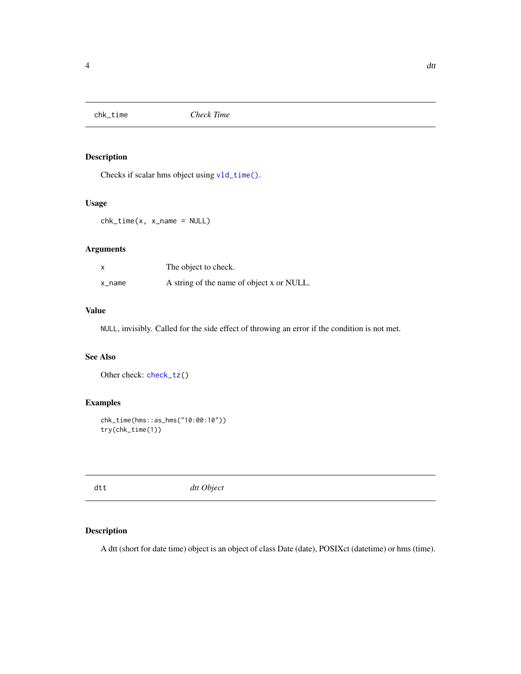<span id="page-3-1"></span><span id="page-3-0"></span>

# Description

Checks if scalar hms object using [vld\\_time\(\)](#page-53-1).

#### Usage

chk\_time(x, x\_name = NULL)

# Arguments

|        | The object to check.                      |
|--------|-------------------------------------------|
| x_name | A string of the name of object x or NULL. |

# Value

NULL, invisibly. Called for the side effect of throwing an error if the condition is not met.

# See Also

Other check: [check\\_tz\(](#page-2-1))

# Examples

```
chk_time(hms::as_hms("10:00:10"))
try(chk_time(1))
```
dtt *dtt Object*

# Description

A dtt (short for date time) object is an object of class Date (date), POSIXct (datetime) or hms (time).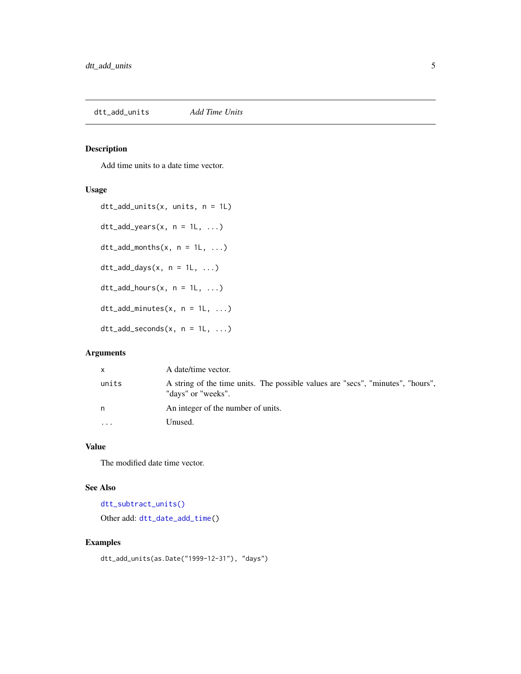# <span id="page-4-1"></span><span id="page-4-0"></span>Description

Add time units to a date time vector.

#### Usage

```
dtt_add_units(x, units, n = 1L)
dt<sub>-add_years</sub>(x, n = 1L, ...)
dt<sub>-add_months</sub>(x, n = 1L, ...)
dt<sub>-add</sub>-days(x, n = 1L, ...)
dt<sub>-add</sub>-hours(x, n = 1L, ...)
dt<sub>-add_minutes</sub>(x, n = 1L, ...)
dt<sub>-add</sub>-seconds(x, n = 1L, ...)
```
# Arguments

| x         | A date/time vector.                                                                                   |
|-----------|-------------------------------------------------------------------------------------------------------|
| units     | A string of the time units. The possible values are "secs", "minutes", "hours",<br>"days" or "weeks". |
| n         | An integer of the number of units.                                                                    |
| $\ddotsc$ | Unused.                                                                                               |

# Value

The modified date time vector.

# See Also

[dtt\\_subtract\\_units\(\)](#page-41-1) Other add: [dtt\\_date\\_add\\_time\(](#page-12-1))

# Examples

dtt\_add\_units(as.Date("1999-12-31"), "days")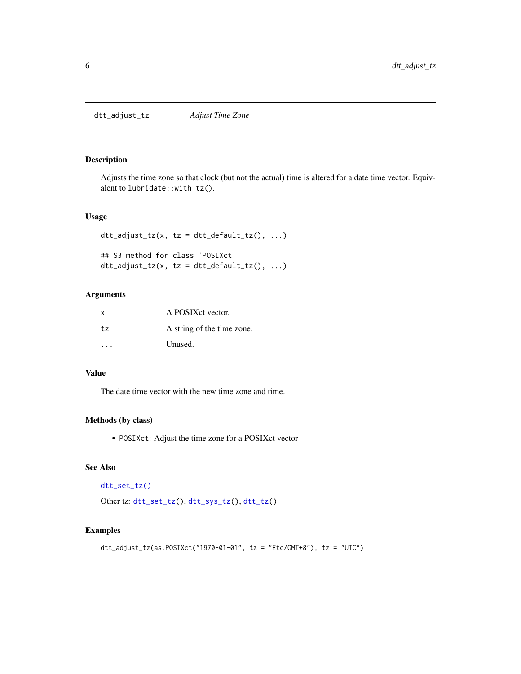<span id="page-5-1"></span><span id="page-5-0"></span>dtt\_adjust\_tz *Adjust Time Zone*

#### Description

Adjusts the time zone so that clock (but not the actual) time is altered for a date time vector. Equivalent to lubridate::with\_tz().

#### Usage

```
dt<sub>L</sub>adjust_tz(x, tz = dtt_default_tz(), ...)
## S3 method for class 'POSIXct'
dt<sub>L</sub>adjust_tz(x, tz = dtt_default_tz(), ...)
```
# Arguments

| X  | A POSIX et vector.         |
|----|----------------------------|
| tz | A string of the time zone. |
|    | Unused.                    |

#### Value

The date time vector with the new time zone and time.

# Methods (by class)

• POSIXct: Adjust the time zone for a POSIXct vector

#### See Also

```
dtt_set_tz()
```

```
Other tz: dtt_set_tz(), dtt_sys_tz(), dtt_tz()
```
#### Examples

```
dtt_adjust_tz(as.POSIXct("1970-01-01", tz = "Etc/GMT+8"), tz = "UTC")
```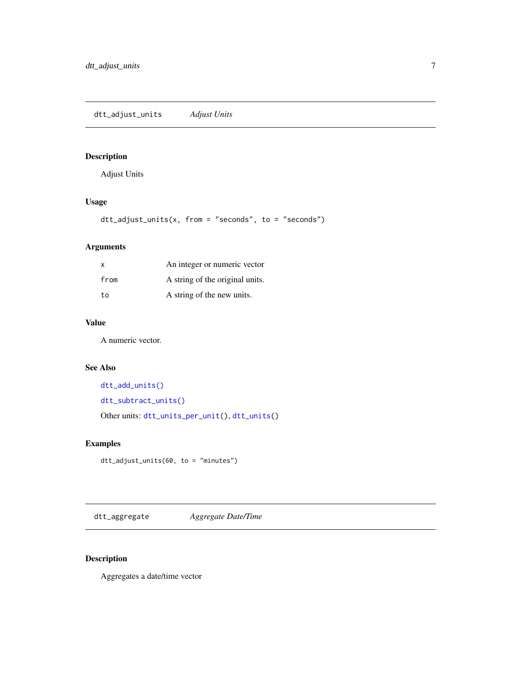<span id="page-6-1"></span><span id="page-6-0"></span>dtt\_adjust\_units *Adjust Units*

# Description

Adjust Units

# Usage

dtt\_adjust\_units(x, from = "seconds", to = "seconds")

# Arguments

| $\mathsf{x}$ | An integer or numeric vector    |
|--------------|---------------------------------|
| from         | A string of the original units. |
| to           | A string of the new units.      |

# Value

A numeric vector.

# See Also

```
dtt_add_units()
dtt_subtract_units()
Other units: dtt_units_per_unit(), dtt_units()
```
# Examples

dtt\_adjust\_units(60, to = "minutes")

dtt\_aggregate *Aggregate Date/Time*

# Description

Aggregates a date/time vector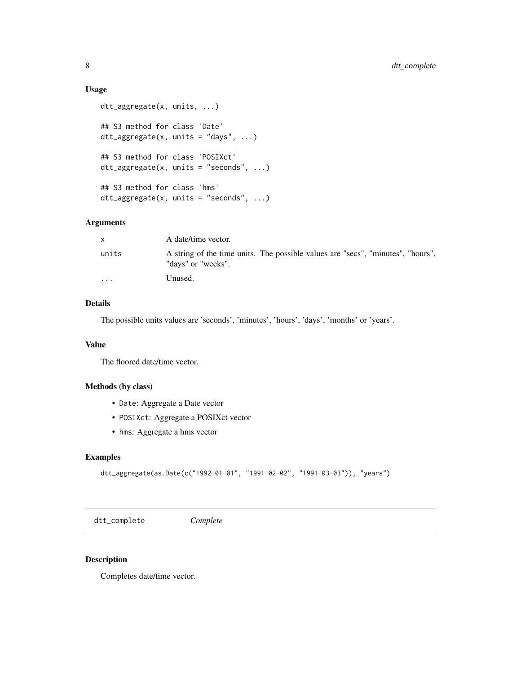#### Usage

```
dtt_aggregate(x, units, ...)
## S3 method for class 'Date'
dt<sub>-aggregate(x, units = "days", ...)</sub>
## S3 method for class 'POSIXct'
dt_{\text{aggregate}}(x, \text{ units} = "seconds", ...)## S3 method for class 'hms'
dt<sub>-aggregate(x, units = "seconds", ...</sub>)
```
#### Arguments

|                         | A date/time vector.                                                                                   |
|-------------------------|-------------------------------------------------------------------------------------------------------|
| units                   | A string of the time units. The possible values are "secs", "minutes", "hours",<br>"days" or "weeks". |
| $\cdot$ $\cdot$ $\cdot$ | Unused.                                                                                               |

# Details

The possible units values are 'seconds', 'minutes', 'hours', 'days', 'months' or 'years'.

#### Value

The floored date/time vector.

#### Methods (by class)

- Date: Aggregate a Date vector
- POSIXct: Aggregate a POSIXct vector
- hms: Aggregate a hms vector

# Examples

```
dtt_aggregate(as.Date(c("1992-01-01", "1991-02-02", "1991-03-03")), "years")
```
<span id="page-7-1"></span>dtt\_complete *Complete*

#### Description

Completes date/time vector.

<span id="page-7-0"></span>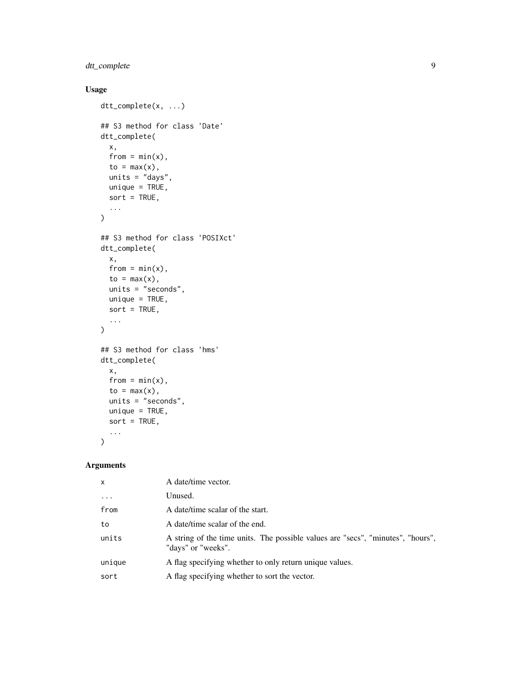# dtt\_complete 9

# Usage

```
dtt_complete(x, ...)
## S3 method for class 'Date'
dtt_complete(
 x,
 from = min(x),
 to = max(x),
 units = "days",
 unique = TRUE,
 sort = TRUE,...
\mathcal{L}## S3 method for class 'POSIXct'
dtt_complete(
 x,
 from = min(x),
 to = max(x),
 units = "seconds",
 unique = TRUE,sort = TRUE,...
\mathcal{L}## S3 method for class 'hms'
dtt_complete(
 x,
 from = min(x),
  to = max(x),
 units = "seconds",
 unique = TRUE,sort = TRUE,...
\mathcal{L}
```
# Arguments

| $\mathsf{x}$ | A date/time vector.                                                                                   |
|--------------|-------------------------------------------------------------------------------------------------------|
| $\ddotsc$    | Unused.                                                                                               |
| from         | A date/time scalar of the start.                                                                      |
| to           | A date/time scalar of the end.                                                                        |
| units        | A string of the time units. The possible values are "secs", "minutes", "hours",<br>"days" or "weeks". |
| unique       | A flag specifying whether to only return unique values.                                               |
| sort         | A flag specifying whether to sort the vector.                                                         |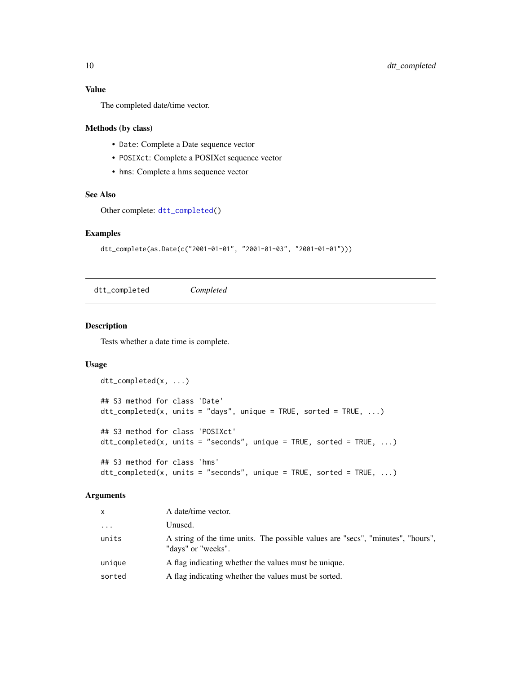#### <span id="page-9-0"></span>Value

The completed date/time vector.

#### Methods (by class)

- Date: Complete a Date sequence vector
- POSIXct: Complete a POSIXct sequence vector
- hms: Complete a hms sequence vector

# See Also

```
Other complete: dtt_completed()
```
#### Examples

```
dtt_complete(as.Date(c("2001-01-01", "2001-01-03", "2001-01-01")))
```
<span id="page-9-1"></span>dtt\_completed *Completed*

#### Description

Tests whether a date time is complete.

# Usage

```
dtt_completed(x, ...)
## S3 method for class 'Date'
dt_{\text{1}} completed(x, units = "days", unique = TRUE, sorted = TRUE, ...)
## S3 method for class 'POSIXct'
dtt_completed(x, units = "seconds", unique = TRUE, sorted = TRUE, ...)
## S3 method for class 'hms'
dt_{\text{1}} completed(x, units = "seconds", unique = TRUE, sorted = TRUE, ...)
```
#### Arguments

| X        | A date/time vector.                                                                                   |
|----------|-------------------------------------------------------------------------------------------------------|
| $\cdots$ | Unused.                                                                                               |
| units    | A string of the time units. The possible values are "secs", "minutes", "hours",<br>"days" or "weeks". |
| unique   | A flag indicating whether the values must be unique.                                                  |
| sorted   | A flag indicating whether the values must be sorted.                                                  |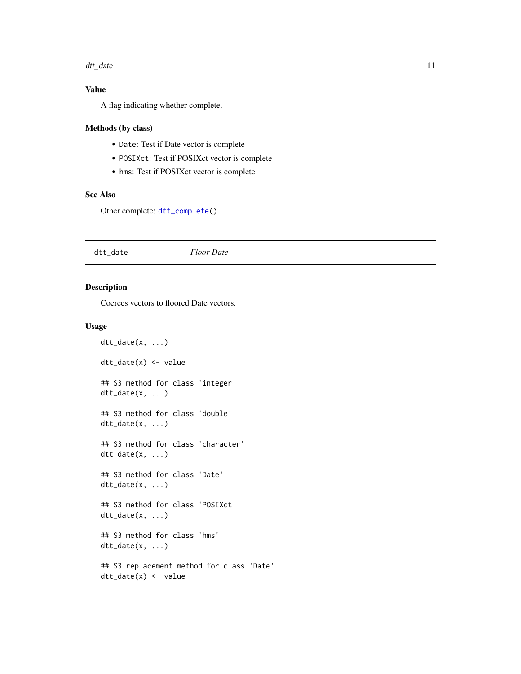#### <span id="page-10-0"></span>dtt\_date 11

# Value

A flag indicating whether complete.

# Methods (by class)

- Date: Test if Date vector is complete
- POSIXct: Test if POSIXct vector is complete
- hms: Test if POSIXct vector is complete

#### See Also

Other complete: [dtt\\_complete\(](#page-7-1))

<span id="page-10-1"></span>dtt\_date *Floor Date*

#### Description

Coerces vectors to floored Date vectors.

#### Usage

```
dt_t_d = (x, \ldots)dtt_date(x) <- value
## S3 method for class 'integer'
dtt_date(x, ...)
## S3 method for class 'double'
dt_t_d = (x, \ldots)## S3 method for class 'character'
dt_t_d = (x, \ldots)## S3 method for class 'Date'
dtt_date(x, ...)
## S3 method for class 'POSIXct'
dtt_date(x, ...)
## S3 method for class 'hms'
dt_t_d = (x, \ldots)## S3 replacement method for class 'Date'
dtt_date(x) <- value
```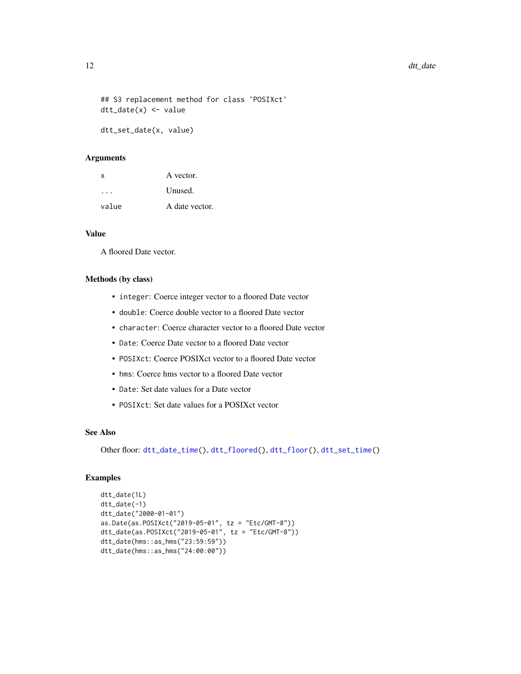```
## S3 replacement method for class 'POSIXct'
dtt_date(x) <- value
```
dtt\_set\_date(x, value)

#### Arguments

| x     | A vector.      |
|-------|----------------|
|       | Unused.        |
| value | A date vector. |

#### Value

A floored Date vector.

#### Methods (by class)

- integer: Coerce integer vector to a floored Date vector
- double: Coerce double vector to a floored Date vector
- character: Coerce character vector to a floored Date vector
- Date: Coerce Date vector to a floored Date vector
- POSIXct: Coerce POSIXct vector to a floored Date vector
- hms: Coerce hms vector to a floored Date vector
- Date: Set date values for a Date vector
- POSIXct: Set date values for a POSIXct vector

#### See Also

Other floor: [dtt\\_date\\_time\(](#page-12-2)), [dtt\\_floored\(](#page-25-1)), [dtt\\_floor\(](#page-24-1)), [dtt\\_set\\_time\(](#page-38-1))

#### Examples

```
dtt_date(1L)
dtt_date(-1)
dtt_date("2000-01-01")
as.Date(as.POSIXct("2019-05-01", tz = "Etc/GMT-8"))
dtt_date(as.POSIXct("2019-05-01", tz = "Etc/GMT-8"))
dtt_date(hms::as_hms("23:59:59"))
dtt_date(hms::as_hms("24:00:00"))
```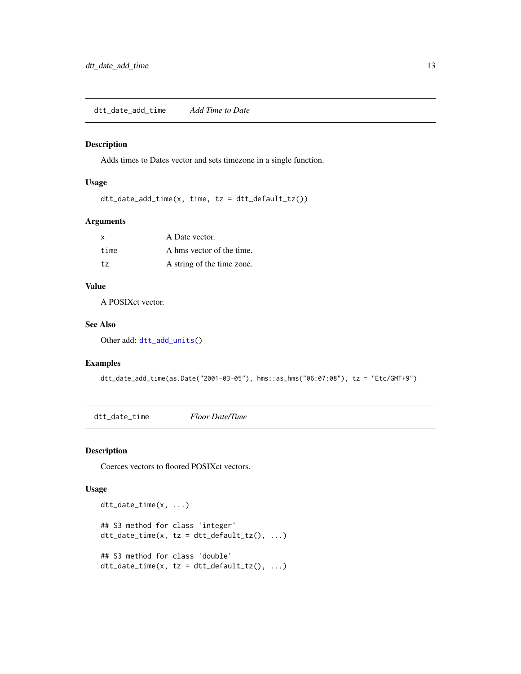<span id="page-12-1"></span><span id="page-12-0"></span>dtt\_date\_add\_time *Add Time to Date*

# Description

Adds times to Dates vector and sets timezone in a single function.

# Usage

dtt\_date\_add\_time(x, time, tz = dtt\_default\_tz())

#### Arguments

| $\boldsymbol{\mathsf{x}}$ | A Date vector.             |
|---------------------------|----------------------------|
| time                      | A hms vector of the time.  |
| t.z                       | A string of the time zone. |

# Value

A POSIXct vector.

#### See Also

Other add: [dtt\\_add\\_units\(](#page-4-1))

#### Examples

```
dtt_date_add_time(as.Date("2001-03-05"), hms::as_hms("06:07:08"), tz = "Etc/GMT+9")
```
<span id="page-12-2"></span>dtt\_date\_time *Floor Date/Time*

#### Description

Coerces vectors to floored POSIXct vectors.

#### Usage

```
dtt_date_time(x, ...)
## S3 method for class 'integer'
dt_t_d = \text{div}_t(x, tz = dt_t_d)## S3 method for class 'double'
dt_t_d = time(x, tz = dt_t_d)
```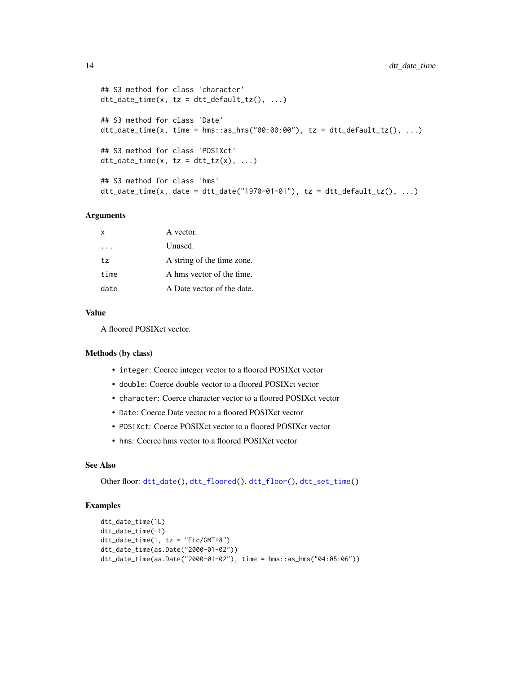```
## S3 method for class 'character'
dt_t_d = \text{dim}(x, tz = dt_t_d)## S3 method for class 'Date'
dt = dat = time(x, time = hms::as_hms("00:00:00"), tz = dt = det = det = t(x), ...)## S3 method for class 'POSIXct'
dt_t_d = \text{div}_t(x, t_z = dt_t_t(x), \ldots)## S3 method for class 'hms'
dt_date_time(x, date = dt_date("1970-01-01"), tz = dt_default_tz(), ...)
```
#### Arguments

| X    | A vector.                  |
|------|----------------------------|
|      | Unused.                    |
| tz.  | A string of the time zone. |
| time | A hms vector of the time.  |
| date | A Date vector of the date. |

#### Value

A floored POSIXct vector.

#### Methods (by class)

- integer: Coerce integer vector to a floored POSIXct vector
- double: Coerce double vector to a floored POSIXct vector
- character: Coerce character vector to a floored POSIXct vector
- Date: Coerce Date vector to a floored POSIXct vector
- POSIXct: Coerce POSIXct vector to a floored POSIXct vector
- hms: Coerce hms vector to a floored POSIXct vector

#### See Also

Other floor: [dtt\\_date\(](#page-10-1)), [dtt\\_floored\(](#page-25-1)), [dtt\\_floor\(](#page-24-1)), [dtt\\_set\\_time\(](#page-38-1))

#### Examples

```
dtt_date_time(1L)
dtt_date_time(-1)
dtt_date_time(1, tz = "Etc/GMT+8")
dtt_date_time(as.Date("2000-01-02"))
dtt_date_time(as.Date("2000-01-02"), time = hms::as_hms("04:05:06"))
```
<span id="page-13-0"></span>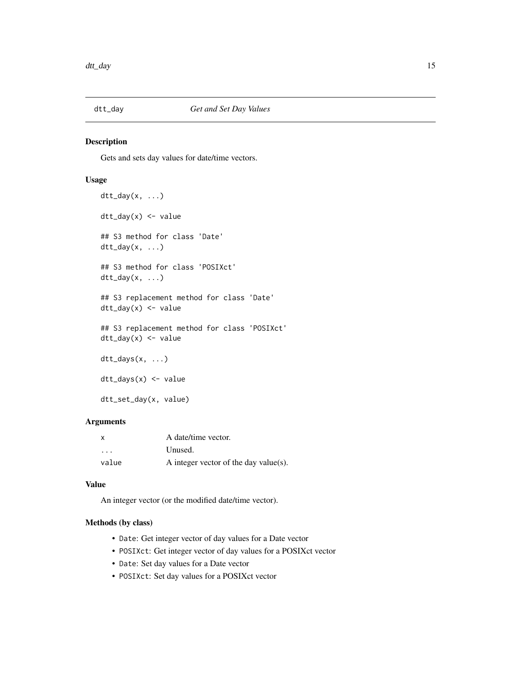<span id="page-14-1"></span><span id="page-14-0"></span>

#### Description

Gets and sets day values for date/time vectors.

#### Usage

```
dt_t_day(x, \ldots)dtt_day(x) <- value
## S3 method for class 'Date'
dt<sub>L</sub>day(x, ...)
## S3 method for class 'POSIXct'
dt_t_day(x, \ldots)## S3 replacement method for class 'Date'
dt_dday(x) <- value
## S3 replacement method for class 'POSIXct'
dtt_day(x) <- value
dtt_days(x, ...)
dtt_days(x) <- value
dtt_set_day(x, value)
```
# Arguments

| $\boldsymbol{\mathsf{x}}$ | A date/time vector.                   |
|---------------------------|---------------------------------------|
| $\cdots$                  | Unused.                               |
| value                     | A integer vector of the day value(s). |

#### Value

An integer vector (or the modified date/time vector).

# Methods (by class)

- Date: Get integer vector of day values for a Date vector
- POSIXct: Get integer vector of day values for a POSIXct vector
- Date: Set day values for a Date vector
- POSIXct: Set day values for a POSIXct vector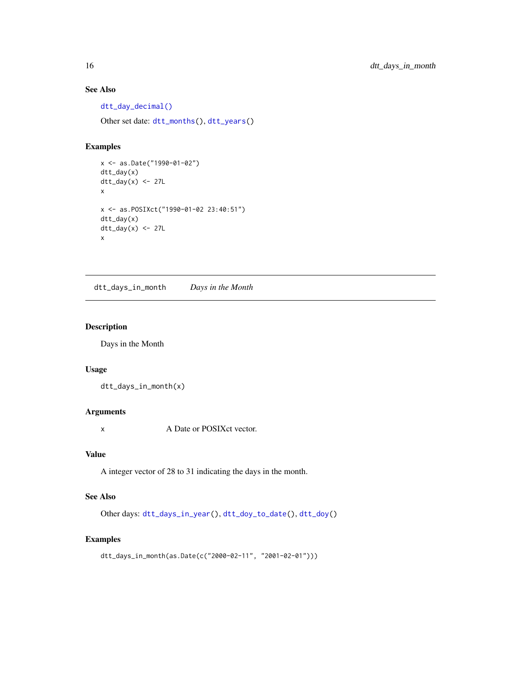# See Also

[dtt\\_day\\_decimal\(\)](#page-19-1)

Other set date: [dtt\\_months\(](#page-33-1)), [dtt\\_years\(](#page-49-1))

#### Examples

```
x <- as.Date("1990-01-02")
dtt_day(x)
dt_{day(x) \leftarrow 27Lx
x <- as.POSIXct("1990-01-02 23:40:51")
dtt_day(x)
dt_{day(x)} \leftarrow 27Lx
```
<span id="page-15-1"></span>dtt\_days\_in\_month *Days in the Month*

# Description

Days in the Month

#### Usage

dtt\_days\_in\_month(x)

# Arguments

x A Date or POSIXct vector.

# Value

A integer vector of 28 to 31 indicating the days in the month.

# See Also

Other days: [dtt\\_days\\_in\\_year\(](#page-16-1)), [dtt\\_doy\\_to\\_date\(](#page-22-1)), [dtt\\_doy\(](#page-21-1))

#### Examples

```
dtt_days_in_month(as.Date(c("2000-02-11", "2001-02-01")))
```
<span id="page-15-0"></span>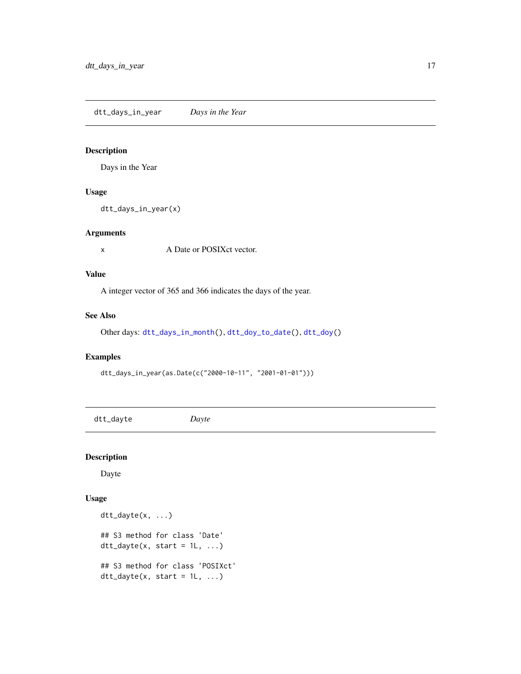<span id="page-16-1"></span><span id="page-16-0"></span>dtt\_days\_in\_year *Days in the Year*

#### Description

Days in the Year

# Usage

dtt\_days\_in\_year(x)

#### Arguments

x A Date or POSIXct vector.

#### Value

A integer vector of 365 and 366 indicates the days of the year.

#### See Also

Other days: [dtt\\_days\\_in\\_month\(](#page-15-1)), [dtt\\_doy\\_to\\_date\(](#page-22-1)), [dtt\\_doy\(](#page-21-1))

# Examples

dtt\_days\_in\_year(as.Date(c("2000-10-11", "2001-01-01")))

<span id="page-16-2"></span>dtt\_dayte *Dayte*

# Description

Dayte

#### Usage

```
dtt_dayte(x, ...)
## S3 method for class 'Date'
dt<sub>L</sub>dayte(x, start = 1L, ...)
## S3 method for class 'POSIXct'
dt<sub>-dayte</sub>(x, start = 1L, ...)
```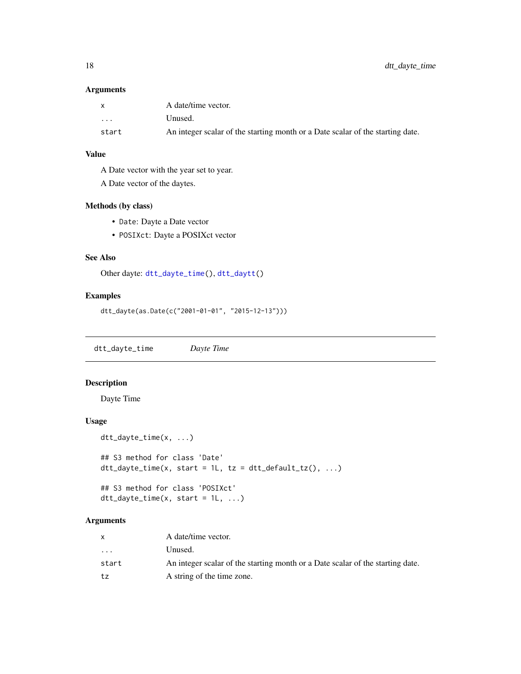<span id="page-17-0"></span>18 dtt\_dayte\_time

#### Arguments

| $\mathbf{x}$ | A date/time vector.                                                            |
|--------------|--------------------------------------------------------------------------------|
| $\cdot$      | Unused.                                                                        |
| start        | An integer scalar of the starting month or a Date scalar of the starting date. |

# Value

A Date vector with the year set to year.

A Date vector of the daytes.

# Methods (by class)

- Date: Dayte a Date vector
- POSIXct: Dayte a POSIXct vector

# See Also

Other dayte: [dtt\\_dayte\\_time\(](#page-17-1)), [dtt\\_daytt\(](#page-18-1))

# Examples

```
dtt_dayte(as.Date(c("2001-01-01", "2015-12-13")))
```
<span id="page-17-1"></span>dtt\_dayte\_time *Dayte Time*

# Description

Dayte Time

# Usage

```
dtt_dayte_time(x, ...)
## S3 method for class 'Date'
dt_dayte_time(x, start = 1L, tz = dtt_default_tz(), ...)
## S3 method for class 'POSIXct'
dt_t_ddayte_time(x, start = 1L, ...)
```
# Arguments

|                         | A date/time vector.                                                            |
|-------------------------|--------------------------------------------------------------------------------|
| $\cdot$ $\cdot$ $\cdot$ | Unused.                                                                        |
| start                   | An integer scalar of the starting month or a Date scalar of the starting date. |
| tz                      | A string of the time zone.                                                     |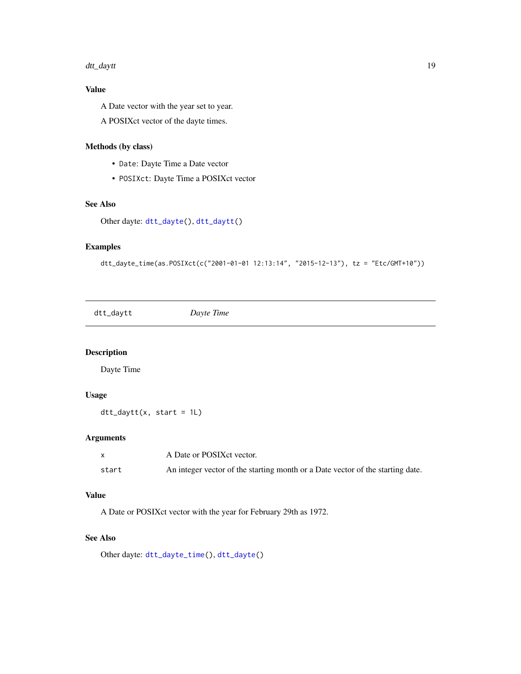#### <span id="page-18-0"></span>dtt\_daytt 19

# Value

A Date vector with the year set to year.

A POSIXct vector of the dayte times.

# Methods (by class)

- Date: Dayte Time a Date vector
- POSIXct: Dayte Time a POSIXct vector

# See Also

Other dayte: [dtt\\_dayte\(](#page-16-2)), [dtt\\_daytt\(](#page-18-1))

# Examples

```
dtt_dayte_time(as.POSIXct(c("2001-01-01 12:13:14", "2015-12-13"), tz = "Etc/GMT+10"))
```
<span id="page-18-1"></span>dtt\_daytt *Dayte Time*

#### Description

Dayte Time

#### Usage

```
dt_t_ddaytt(x, start = 1L)
```
#### Arguments

|       | A Date or POSIX et vector.                                                     |
|-------|--------------------------------------------------------------------------------|
| start | An integer vector of the starting month or a Date vector of the starting date. |

# Value

A Date or POSIXct vector with the year for February 29th as 1972.

#### See Also

Other dayte: [dtt\\_dayte\\_time\(](#page-17-1)), [dtt\\_dayte\(](#page-16-2))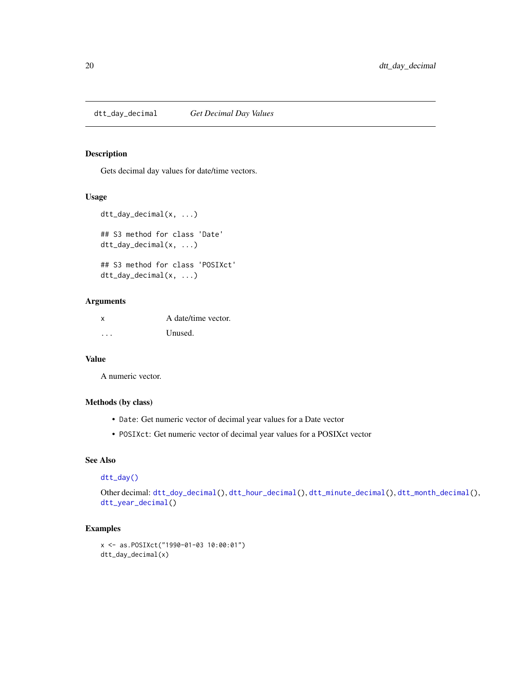<span id="page-19-1"></span><span id="page-19-0"></span>dtt\_day\_decimal *Get Decimal Day Values*

# Description

Gets decimal day values for date/time vectors.

#### Usage

```
dtt_day_decimal(x, ...)
## S3 method for class 'Date'
dtt_day_decimal(x, ...)
## S3 method for class 'POSIXct'
dtt_day_decimal(x, ...)
```
#### Arguments

| x | A date/time vector. |
|---|---------------------|
| . | Unused.             |

#### Value

A numeric vector.

# Methods (by class)

- Date: Get numeric vector of decimal year values for a Date vector
- POSIXct: Get numeric vector of decimal year values for a POSIXct vector

#### See Also

# [dtt\\_day\(\)](#page-14-1)

Other decimal: [dtt\\_doy\\_decimal\(](#page-22-2)), [dtt\\_hour\\_decimal\(](#page-27-1)), [dtt\\_minute\\_decimal\(](#page-32-1)), [dtt\\_month\\_decimal\(](#page-34-1)), [dtt\\_year\\_decimal\(](#page-50-1))

# Examples

```
x <- as.POSIXct("1990-01-03 10:00:01")
dtt_day_decimal(x)
```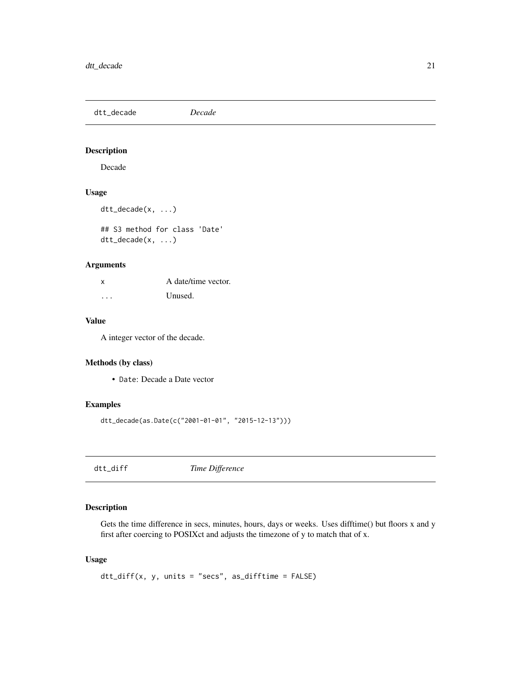<span id="page-20-0"></span>dtt\_decade *Decade*

#### Description

Decade

# Usage

```
dtt_decade(x, ...)
```
## S3 method for class 'Date' dtt\_decade(x, ...)

#### Arguments

| X | A date/time vector. |
|---|---------------------|
| . | Unused.             |

#### Value

A integer vector of the decade.

# Methods (by class)

• Date: Decade a Date vector

#### Examples

dtt\_decade(as.Date(c("2001-01-01", "2015-12-13")))

dtt\_diff *Time Difference*

#### Description

Gets the time difference in secs, minutes, hours, days or weeks. Uses difftime() but floors x and y first after coercing to POSIXct and adjusts the timezone of y to match that of x.

#### Usage

```
dtt_diff(x, y, units = "secs", as_difftime = FALSE)
```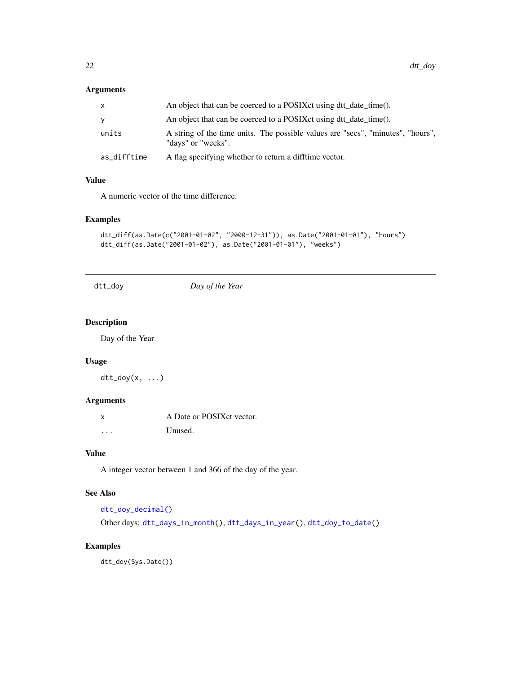#### <span id="page-21-0"></span>Arguments

|             | An object that can be coerced to a POSIX ct using dtt_date_time().                                    |
|-------------|-------------------------------------------------------------------------------------------------------|
| v           | An object that can be coerced to a POSIX ct using dtt date time().                                    |
| units       | A string of the time units. The possible values are "secs", "minutes", "hours",<br>"days" or "weeks". |
| as_difftime | A flag specifying whether to return a difftime vector.                                                |

#### Value

A numeric vector of the time difference.

# Examples

```
dtt_diff(as.Date(c("2001-01-02", "2000-12-31")), as.Date("2001-01-01"), "hours")
dtt_diff(as.Date("2001-01-02"), as.Date("2001-01-01"), "weeks")
```
<span id="page-21-1"></span>dtt\_doy *Day of the Year*

# Description

Day of the Year

# Usage

 $dt$ <sub>-doy</sub>(x, ...)

# Arguments

| $\mathsf{x}$ | A Date or POSIX ct vector. |
|--------------|----------------------------|
| $\cdots$     | Unused.                    |

# Value

A integer vector between 1 and 366 of the day of the year.

# See Also

```
dtt_doy_decimal()
```
Other days: [dtt\\_days\\_in\\_month\(](#page-15-1)), [dtt\\_days\\_in\\_year\(](#page-16-1)), [dtt\\_doy\\_to\\_date\(](#page-22-1))

# Examples

dtt\_doy(Sys.Date())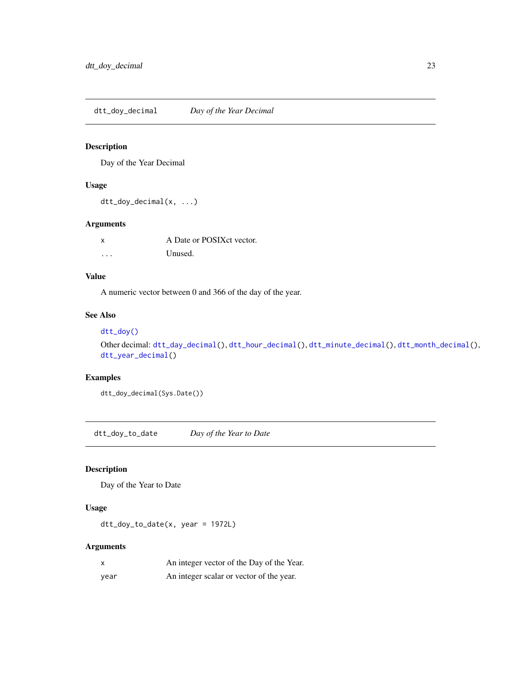<span id="page-22-2"></span><span id="page-22-0"></span>dtt\_doy\_decimal *Day of the Year Decimal*

# Description

Day of the Year Decimal

#### Usage

dtt\_doy\_decimal(x, ...)

# Arguments

|          | A Date or POSIX ct vector. |
|----------|----------------------------|
| $\cdots$ | Unused.                    |

# Value

A numeric vector between 0 and 366 of the day of the year.

# See Also

# [dtt\\_doy\(\)](#page-21-1)

```
Other decimal: dtt_day_decimal(), dtt_hour_decimal(), dtt_minute_decimal(), dtt_month_decimal(),
dtt_year_decimal()
```
# Examples

dtt\_doy\_decimal(Sys.Date())

<span id="page-22-1"></span>dtt\_doy\_to\_date *Day of the Year to Date*

# Description

Day of the Year to Date

#### Usage

dtt\_doy\_to\_date(x, year = 1972L)

# Arguments

|      | An integer vector of the Day of the Year. |
|------|-------------------------------------------|
| vear | An integer scalar or vector of the year.  |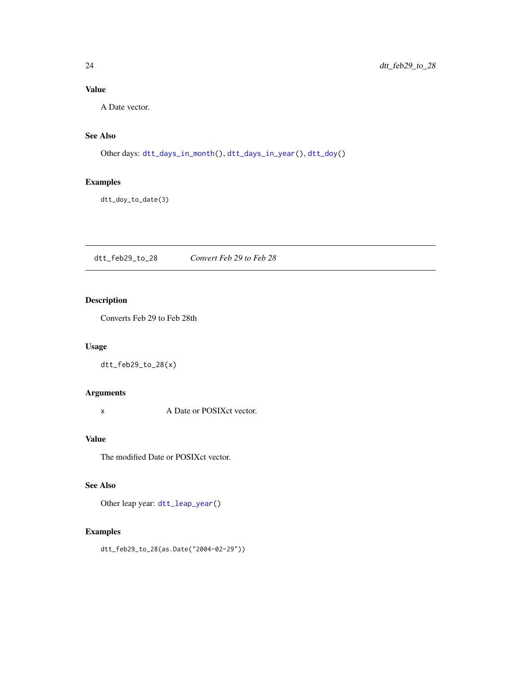# <span id="page-23-0"></span>Value

A Date vector.

# See Also

Other days: [dtt\\_days\\_in\\_month\(](#page-15-1)), [dtt\\_days\\_in\\_year\(](#page-16-1)), [dtt\\_doy\(](#page-21-1))

# Examples

dtt\_doy\_to\_date(3)

<span id="page-23-1"></span>dtt\_feb29\_to\_28 *Convert Feb 29 to Feb 28*

# Description

Converts Feb 29 to Feb 28th

# Usage

dtt\_feb29\_to\_28(x)

# Arguments

x A Date or POSIXct vector.

# Value

The modified Date or POSIXct vector.

#### See Also

Other leap year: [dtt\\_leap\\_year\(](#page-30-1))

#### Examples

dtt\_feb29\_to\_28(as.Date("2004-02-29"))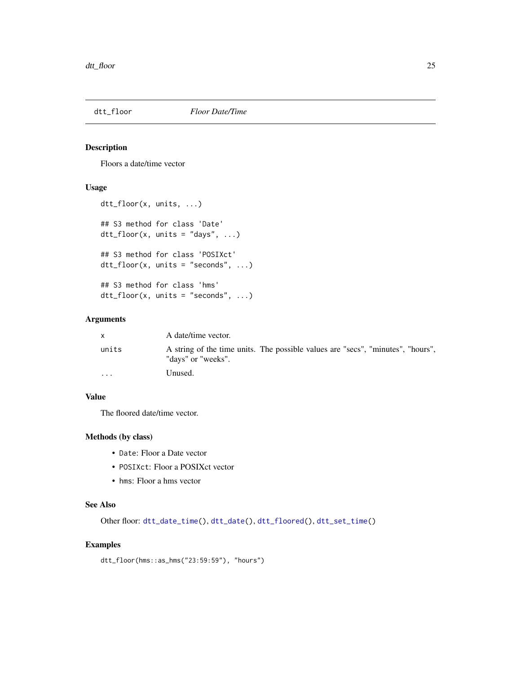<span id="page-24-1"></span><span id="page-24-0"></span>

# Description

Floors a date/time vector

# Usage

```
dtt_floor(x, units, ...)
## S3 method for class 'Date'
dt_floor(x, units = "days", ...)
## S3 method for class 'POSIXct'
dtt_floor(x, units = "seconds", ...)
## S3 method for class 'hms'
dtt_floor(x, units = "seconds", ...)
```
# Arguments

| <b>X</b> | A date/time vector.                                                                                   |
|----------|-------------------------------------------------------------------------------------------------------|
| units    | A string of the time units. The possible values are "secs", "minutes", "hours",<br>"days" or "weeks". |
| $\cdots$ | Unused.                                                                                               |

#### Value

The floored date/time vector.

# Methods (by class)

- Date: Floor a Date vector
- POSIXct: Floor a POSIXct vector
- hms: Floor a hms vector

#### See Also

Other floor: [dtt\\_date\\_time\(](#page-12-2)), [dtt\\_date\(](#page-10-1)), [dtt\\_floored\(](#page-25-1)), [dtt\\_set\\_time\(](#page-38-1))

#### Examples

dtt\_floor(hms::as\_hms("23:59:59"), "hours")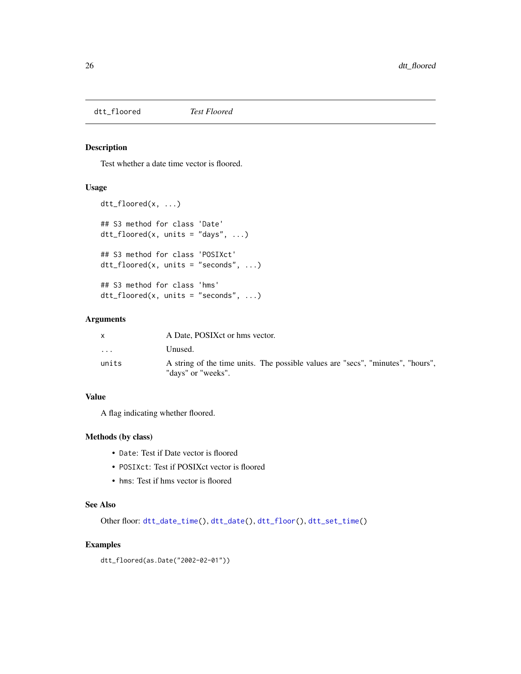<span id="page-25-1"></span><span id="page-25-0"></span>dtt\_floored *Test Floored*

# Description

Test whether a date time vector is floored.

# Usage

```
dtt_floored(x, ...)
## S3 method for class 'Date'
dt_floored(x, units = "days", ...)
## S3 method for class 'POSIXct'
dtt_floored(x, units = "seconds", \ldots)
## S3 method for class 'hms'
dtt_floored(x, units = "seconds", ...)
```
# Arguments

|                         | A Date, POSIX ct or hms vector.                                                                       |  |
|-------------------------|-------------------------------------------------------------------------------------------------------|--|
| $\cdot$ $\cdot$ $\cdot$ | Unused.                                                                                               |  |
| units                   | A string of the time units. The possible values are "secs", "minutes", "hours",<br>"days" or "weeks". |  |

# Value

A flag indicating whether floored.

#### Methods (by class)

- Date: Test if Date vector is floored
- POSIXct: Test if POSIXct vector is floored
- hms: Test if hms vector is floored

#### See Also

Other floor: [dtt\\_date\\_time\(](#page-12-2)), [dtt\\_date\(](#page-10-1)), [dtt\\_floor\(](#page-24-1)), [dtt\\_set\\_time\(](#page-38-1))

# Examples

dtt\_floored(as.Date("2002-02-01"))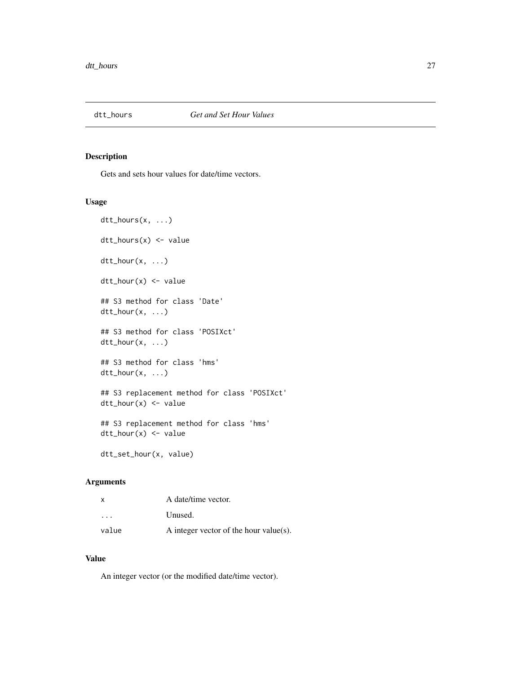<span id="page-26-2"></span><span id="page-26-0"></span>

#### <span id="page-26-1"></span>Description

Gets and sets hour values for date/time vectors.

#### Usage

```
dtt_hours(x, ...)
dtt_hours(x) <- value
dtt_hour(x, ...)
dt_hour(x) <- value
## S3 method for class 'Date'
dttt_hour(x, \ldots)## S3 method for class 'POSIXct'
dtt_hour(x, ...)
## S3 method for class 'hms'
dtt_hour(x, ...)
## S3 replacement method for class 'POSIXct'
dtt_hour(x) <- value
## S3 replacement method for class 'hms'
dtt_hour(x) <- value
```
# dtt\_set\_hour(x, value)

# Arguments

| x                       | A date/time vector.                    |
|-------------------------|----------------------------------------|
| $\cdot$ $\cdot$ $\cdot$ | Unused.                                |
| value                   | A integer vector of the hour value(s). |

# Value

An integer vector (or the modified date/time vector).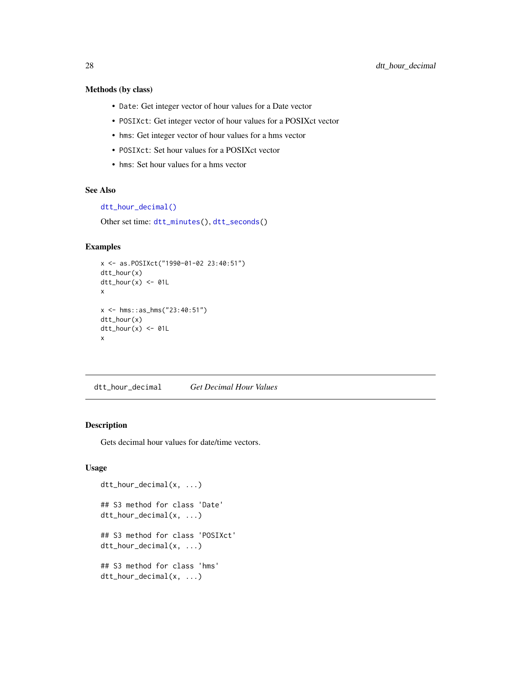#### <span id="page-27-0"></span>Methods (by class)

- Date: Get integer vector of hour values for a Date vector
- POSIXct: Get integer vector of hour values for a POSIXct vector
- hms: Get integer vector of hour values for a hms vector
- POSIXct: Set hour values for a POSIXct vector
- hms: Set hour values for a hms vector

#### See Also

[dtt\\_hour\\_decimal\(\)](#page-27-1)

Other set time: [dtt\\_minutes\(](#page-30-2)), [dtt\\_seconds\(](#page-36-1))

#### Examples

```
x <- as.POSIXct("1990-01-02 23:40:51")
dtt_hour(x)
dt<sub>L</sub>hour(x) <- 01L
x
x <- hms::as_hms("23:40:51")
dtt_hour(x)
dt<sub>L</sub>hour(x) <- 01L
x
```
<span id="page-27-1"></span>dtt\_hour\_decimal *Get Decimal Hour Values*

#### Description

Gets decimal hour values for date/time vectors.

# Usage

```
dtt_hour_decimal(x, ...)
## S3 method for class 'Date'
dtt_hour_decimal(x, ...)
## S3 method for class 'POSIXct'
dtt_hour_decimal(x, ...)
## S3 method for class 'hms'
dtt_hour_decimal(x, ...)
```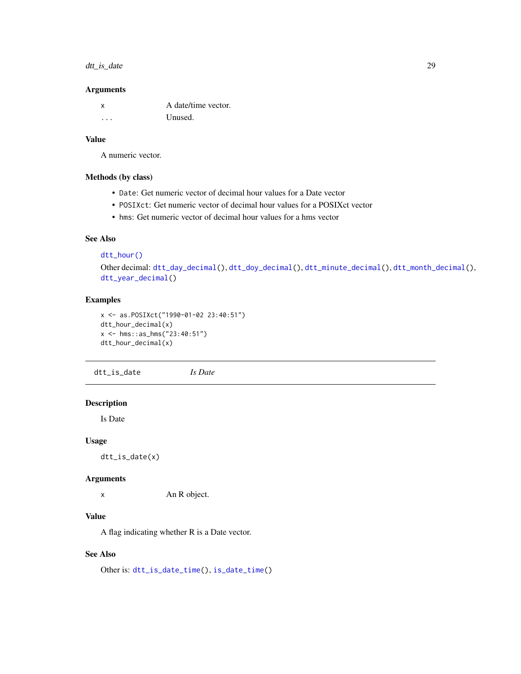# <span id="page-28-0"></span>dtt\_is\_date 29

#### Arguments

| x | A date/time vector. |
|---|---------------------|
| . | Unused.             |

#### Value

A numeric vector.

#### Methods (by class)

- Date: Get numeric vector of decimal hour values for a Date vector
- POSIXct: Get numeric vector of decimal hour values for a POSIXct vector
- hms: Get numeric vector of decimal hour values for a hms vector

# See Also

[dtt\\_hour\(\)](#page-26-1)

Other decimal: [dtt\\_day\\_decimal\(](#page-19-1)), [dtt\\_doy\\_decimal\(](#page-22-2)), [dtt\\_minute\\_decimal\(](#page-32-1)), [dtt\\_month\\_decimal\(](#page-34-1)), [dtt\\_year\\_decimal\(](#page-50-1))

# Examples

```
x <- as.POSIXct("1990-01-02 23:40:51")
dtt_hour_decimal(x)
x <- hms::as_hms("23:40:51")
dtt_hour_decimal(x)
```
<span id="page-28-1"></span>dtt\_is\_date *Is Date*

# Description

Is Date

#### Usage

dtt\_is\_date(x)

#### Arguments

x An R object.

#### Value

A flag indicating whether R is a Date vector.

#### See Also

Other is: [dtt\\_is\\_date\\_time\(](#page-29-1)), [is\\_date\\_time\(](#page-51-1))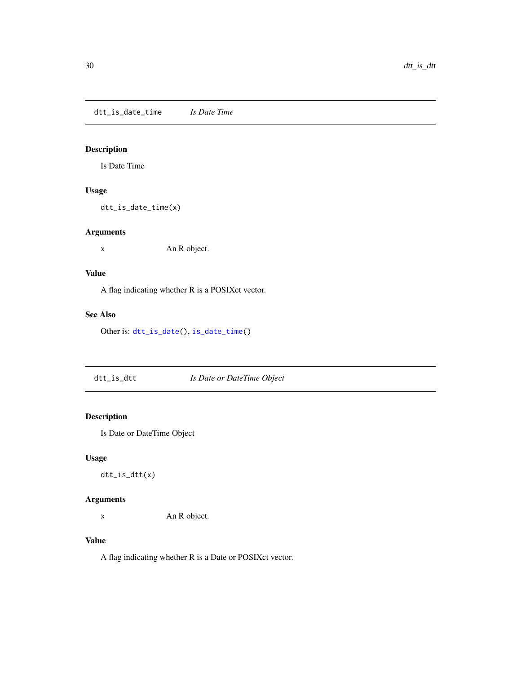<span id="page-29-1"></span><span id="page-29-0"></span>dtt\_is\_date\_time *Is Date Time*

# Description

Is Date Time

#### Usage

dtt\_is\_date\_time(x)

# Arguments

x An R object.

# Value

A flag indicating whether R is a POSIXct vector.

# See Also

Other is: [dtt\\_is\\_date\(](#page-28-1)), [is\\_date\\_time\(](#page-51-1))

dtt\_is\_dtt *Is Date or DateTime Object*

# Description

Is Date or DateTime Object

# Usage

dtt\_is\_dtt(x)

# Arguments

x An R object.

# Value

A flag indicating whether R is a Date or POSIXct vector.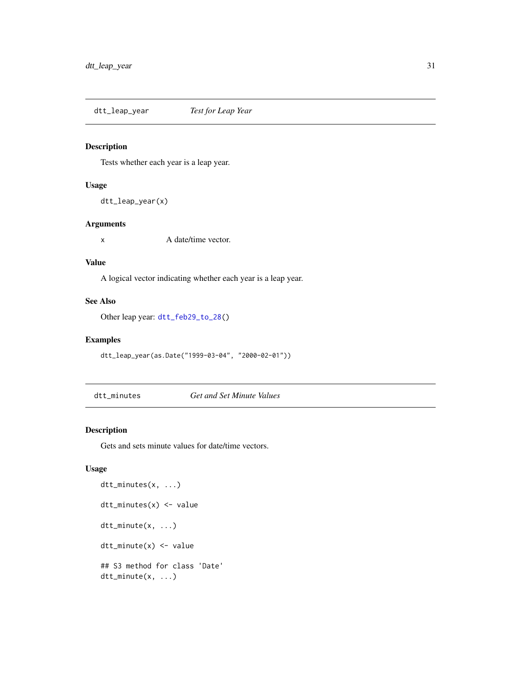<span id="page-30-1"></span><span id="page-30-0"></span>dtt\_leap\_year *Test for Leap Year*

# Description

Tests whether each year is a leap year.

#### Usage

```
dtt_leap_year(x)
```
#### Arguments

x A date/time vector.

# Value

A logical vector indicating whether each year is a leap year.

#### See Also

Other leap year: [dtt\\_feb29\\_to\\_28\(](#page-23-1))

# Examples

dtt\_leap\_year(as.Date("1999-03-04", "2000-02-01"))

<span id="page-30-2"></span>dtt\_minutes *Get and Set Minute Values*

# <span id="page-30-3"></span>Description

Gets and sets minute values for date/time vectors.

# Usage

```
dtt_minutes(x, ...)
dtt_minutes(x) <- value
dtt_minute(x, ...)
dtt_minute(x) <- value
## S3 method for class 'Date'
dtt_minute(x, ...)
```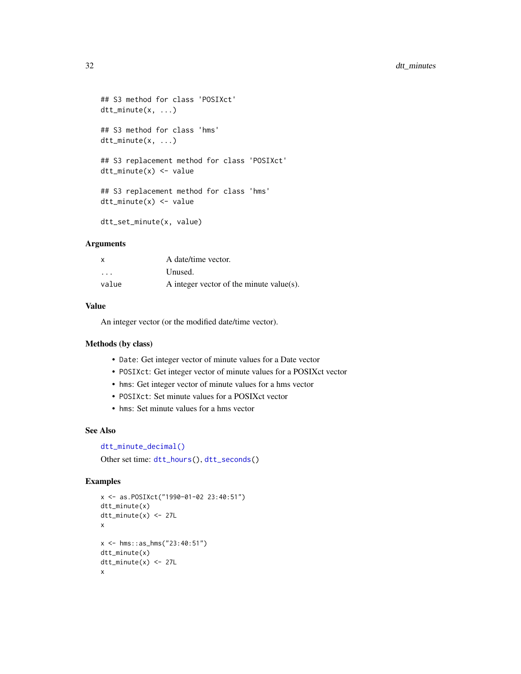```
## S3 method for class 'POSIXct'
dtt_minute(x, ...)
## S3 method for class 'hms'
dtt_minute(x, ...)
## S3 replacement method for class 'POSIXct'
dtt_minute(x) <- value
## S3 replacement method for class 'hms'
dtt_minute(x) <- value
dtt_set_minute(x, value)
```
#### Arguments

| $\times$ | A date/time vector.                      |
|----------|------------------------------------------|
| .        | Unused.                                  |
| value    | A integer vector of the minute value(s). |

#### Value

An integer vector (or the modified date/time vector).

#### Methods (by class)

- Date: Get integer vector of minute values for a Date vector
- POSIXct: Get integer vector of minute values for a POSIXct vector
- hms: Get integer vector of minute values for a hms vector
- POSIXct: Set minute values for a POSIXct vector
- hms: Set minute values for a hms vector

# See Also

```
dtt_minute_decimal()
```
Other set time: [dtt\\_hours\(](#page-26-2)), [dtt\\_seconds\(](#page-36-1))

#### Examples

```
x <- as.POSIXct("1990-01-02 23:40:51")
dtt_minute(x)
dtt_minute(x) <- 27L
x
x <- hms::as_hms("23:40:51")
dtt_minute(x)
dtt_minute(x) <- 27L
x
```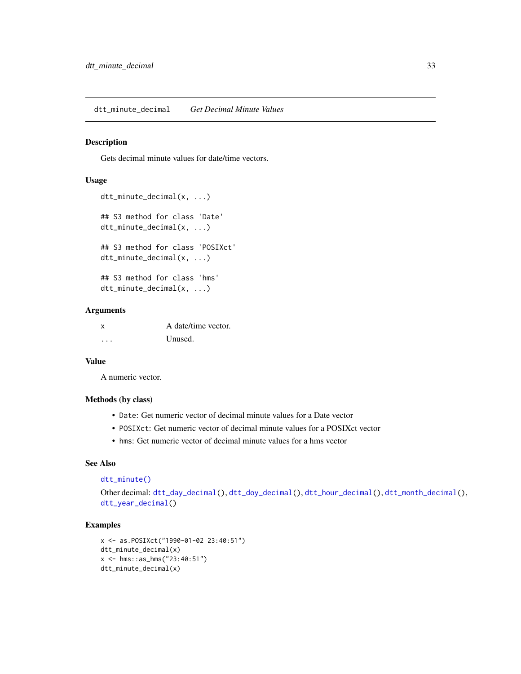<span id="page-32-1"></span><span id="page-32-0"></span>dtt\_minute\_decimal *Get Decimal Minute Values*

#### Description

Gets decimal minute values for date/time vectors.

#### Usage

```
dtt_minute_decimal(x, ...)
## S3 method for class 'Date'
dtt_minute_decimal(x, ...)
## S3 method for class 'POSIXct'
dtt_minute_decimal(x, ...)
## S3 method for class 'hms'
dtt_minute_decimal(x, ...)
```
#### Arguments

| x | A date/time vector. |
|---|---------------------|
| . | Unused.             |

# Value

A numeric vector.

#### Methods (by class)

- Date: Get numeric vector of decimal minute values for a Date vector
- POSIXct: Get numeric vector of decimal minute values for a POSIXct vector
- hms: Get numeric vector of decimal minute values for a hms vector

# See Also

```
dtt_minute()
```

```
Other decimal: dtt_day_decimal(), dtt_doy_decimal(), dtt_hour_decimal(), dtt_month_decimal(),
dtt_year_decimal()
```
#### Examples

```
x <- as.POSIXct("1990-01-02 23:40:51")
dtt_minute_decimal(x)
x <- hms::as_hms("23:40:51")
dtt_minute_decimal(x)
```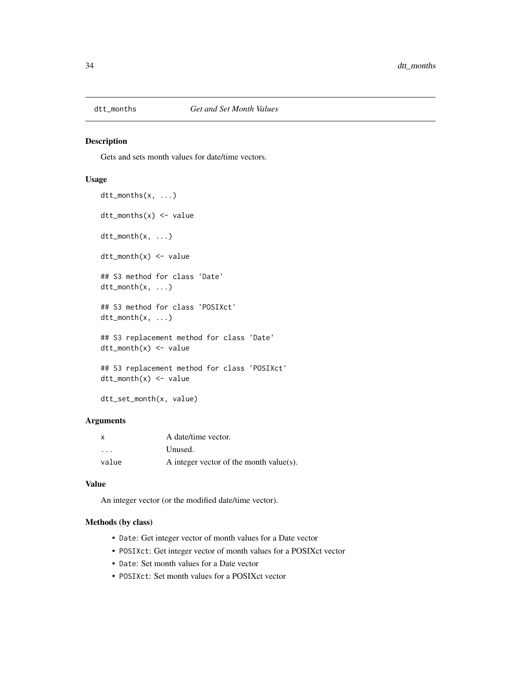<span id="page-33-1"></span><span id="page-33-0"></span>

#### <span id="page-33-2"></span>Description

Gets and sets month values for date/time vectors.

# Usage

```
dtt_months(x, ...)
dt_{\text{months}}(x) \leq \text{value}dttt_month(x, \ldots)dtt_month(x) <- value
## S3 method for class 'Date'
dttt_month(x, \ldots)## S3 method for class 'POSIXct'
dtt_month(x, ...)
## S3 replacement method for class 'Date'
dt_{\text{month}}(x) \leq -\text{value}## S3 replacement method for class 'POSIXct'
dtt_month(x) <- value
```
dtt\_set\_month(x, value)

# Arguments

| X                       | A date/time vector.                     |
|-------------------------|-----------------------------------------|
| $\cdot$ $\cdot$ $\cdot$ | Unused.                                 |
| value                   | A integer vector of the month value(s). |

#### Value

An integer vector (or the modified date/time vector).

#### Methods (by class)

- Date: Get integer vector of month values for a Date vector
- POSIXct: Get integer vector of month values for a POSIXct vector
- Date: Set month values for a Date vector
- POSIXct: Set month values for a POSIXct vector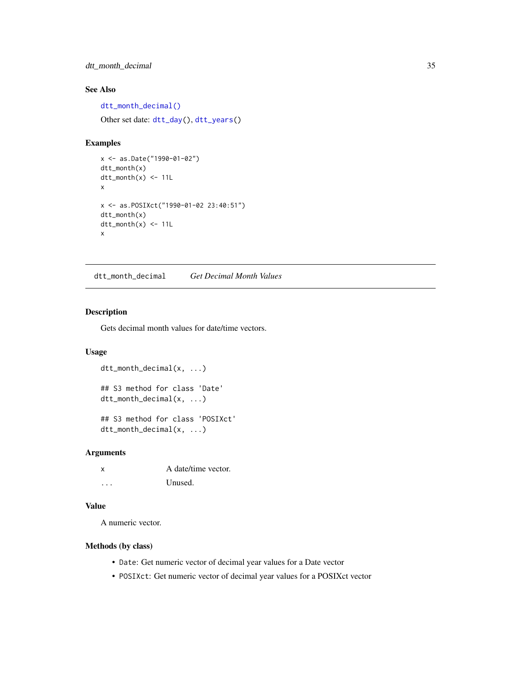# <span id="page-34-0"></span>dtt\_month\_decimal 35

# See Also

[dtt\\_month\\_decimal\(\)](#page-34-1) Other set date: [dtt\\_day\(](#page-14-1)), [dtt\\_years\(](#page-49-1))

#### Examples

```
x <- as.Date("1990-01-02")
dtt_month(x)
dt<sub>month</sub>(x) <- 11L
x
x <- as.POSIXct("1990-01-02 23:40:51")
dtt_month(x)
dt<sub>month</sub>(x) <- 11L
x
```
<span id="page-34-1"></span>dtt\_month\_decimal *Get Decimal Month Values*

#### Description

Gets decimal month values for date/time vectors.

#### Usage

```
dtt_month_decimal(x, ...)
## S3 method for class 'Date'
dtt_month_decimal(x, ...)
## S3 method for class 'POSIXct'
dtt_month_decimal(x, ...)
```
#### Arguments

| <b>X</b> | A date/time vector. |
|----------|---------------------|
| .        | Unused.             |

#### Value

A numeric vector.

#### Methods (by class)

- Date: Get numeric vector of decimal year values for a Date vector
- POSIXct: Get numeric vector of decimal year values for a POSIXct vector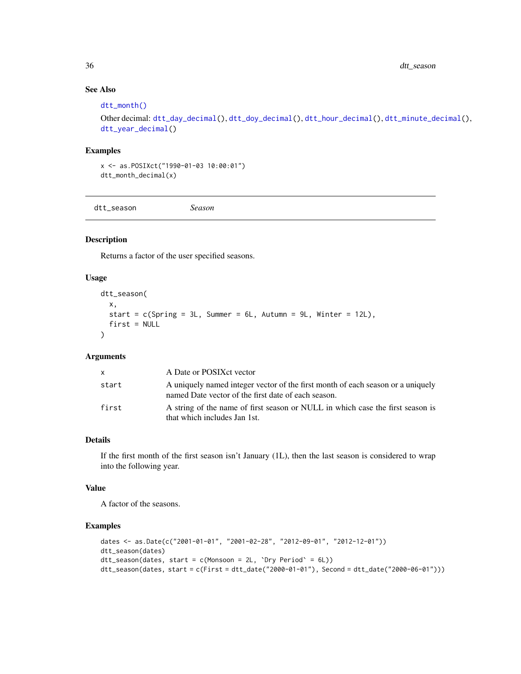<span id="page-35-0"></span>36 dtt\_season

# See Also

#### [dtt\\_month\(\)](#page-33-2)

```
Other decimal: dtt_day_decimal(), dtt_doy_decimal(), dtt_hour_decimal(), dtt_minute_decimal(),
dtt_year_decimal()
```
# Examples

x <- as.POSIXct("1990-01-03 10:00:01") dtt\_month\_decimal(x)

dtt\_season *Season*

# Description

Returns a factor of the user specified seasons.

#### Usage

```
dtt_season(
  x,
  start = c(Spring = 3L, Summer = 6L, Autumm = 9L, Winter = 12L),first = NULL\mathcal{L}
```
#### Arguments

| x.    | A Date or POSIX et vector                                                                                                              |
|-------|----------------------------------------------------------------------------------------------------------------------------------------|
| start | A uniquely named integer vector of the first month of each season or a uniquely<br>named Date vector of the first date of each season. |
| first | A string of the name of first season or NULL in which case the first season is<br>that which includes Jan 1st.                         |

# Details

If the first month of the first season isn't January (1L), then the last season is considered to wrap into the following year.

#### Value

A factor of the seasons.

#### Examples

```
dates <- as.Date(c("2001-01-01", "2001-02-28", "2012-09-01", "2012-12-01"))
dtt_season(dates)
dt<sub>L</sub> season(dates, start = c(Monsoon = 2L, `Dry Period` = 6L))
dtt_season(dates, start = c(First = dtt_date("2000-01-01"), Second = dtt_date("2000-06-01")))
```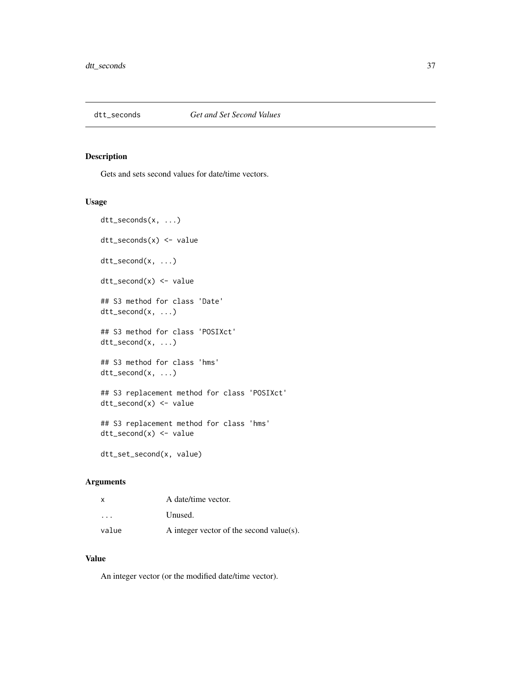<span id="page-36-1"></span><span id="page-36-0"></span>

#### Description

Gets and sets second values for date/time vectors.

#### Usage

```
dtt_seconds(x, ...)
dtt_seconds(x) <- value
dtt_second(x, ...)
dtt_second(x) <- value
## S3 method for class 'Date'
dtt_second(x, ...)
## S3 method for class 'POSIXct'
dtt_second(x, ...)
## S3 method for class 'hms'
dtt_second(x, ...)
## S3 replacement method for class 'POSIXct'
dtt_second(x) <- value
## S3 replacement method for class 'hms'
dtt_second(x) <- value
```
# dtt\_set\_second(x, value)

# Arguments

| x                       | A date/time vector.                      |
|-------------------------|------------------------------------------|
| $\cdot$ $\cdot$ $\cdot$ | Unused.                                  |
| value                   | A integer vector of the second value(s). |

# Value

An integer vector (or the modified date/time vector).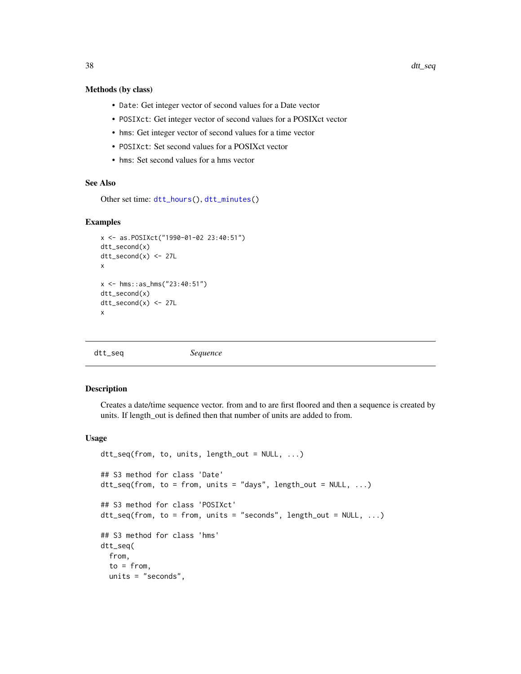#### <span id="page-37-0"></span>Methods (by class)

- Date: Get integer vector of second values for a Date vector
- POSIXct: Get integer vector of second values for a POSIXct vector
- hms: Get integer vector of second values for a time vector
- POSIXct: Set second values for a POSIXct vector
- hms: Set second values for a hms vector

#### See Also

Other set time: [dtt\\_hours\(](#page-26-2)), [dtt\\_minutes\(](#page-30-2))

#### Examples

```
x <- as.POSIXct("1990-01-02 23:40:51")
dtt_second(x)
dt<sub>_second</sub>(x) <- 27L
x
x <- hms::as_hms("23:40:51")
dtt_second(x)
dt<sub>L</sub>second(x) <- 27L
x
```
dtt\_seq *Sequence*

#### Description

Creates a date/time sequence vector. from and to are first floored and then a sequence is created by units. If length\_out is defined then that number of units are added to from.

#### Usage

```
dtt_seq(from, to, units, length_out = NULL, ...)
## S3 method for class 'Date'
dtt_seq(from, to = from, units = "days", length_out = NULL, ...)
## S3 method for class 'POSIXct'
dtt_seq(from, to = from, units = "seconds", length_out = NULL, ...)
## S3 method for class 'hms'
dtt_seq(
 from,
  to = from,units = "seconds",
```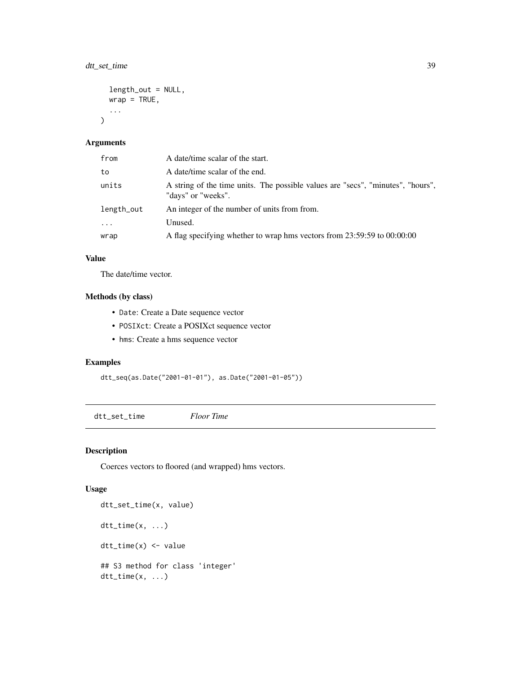# <span id="page-38-0"></span>dtt\_set\_time 39

```
length_out = NULL,
  wrap = TRUE,...
\mathcal{L}
```
# Arguments

| from                    | A date/time scalar of the start.                                                                      |
|-------------------------|-------------------------------------------------------------------------------------------------------|
| to                      | A date/time scalar of the end.                                                                        |
| units                   | A string of the time units. The possible values are "secs", "minutes", "hours",<br>"days" or "weeks". |
| length_out              | An integer of the number of units from from.                                                          |
| $\cdot$ $\cdot$ $\cdot$ | Unused.                                                                                               |
| wrap                    | A flag specifying whether to wrap hms vectors from 23:59:59 to 00:00:00                               |

# Value

The date/time vector.

# Methods (by class)

- Date: Create a Date sequence vector
- POSIXct: Create a POSIXct sequence vector
- hms: Create a hms sequence vector

# Examples

```
dtt_seq(as.Date("2001-01-01"), as.Date("2001-01-05"))
```
<span id="page-38-1"></span>dtt\_set\_time *Floor Time*

# Description

Coerces vectors to floored (and wrapped) hms vectors.

# Usage

```
dtt_set_time(x, value)
dttt_time(x, \ldots)dtt_time(x) <- value
## S3 method for class 'integer'
dt<sub>L</sub>time(x, \ldots)
```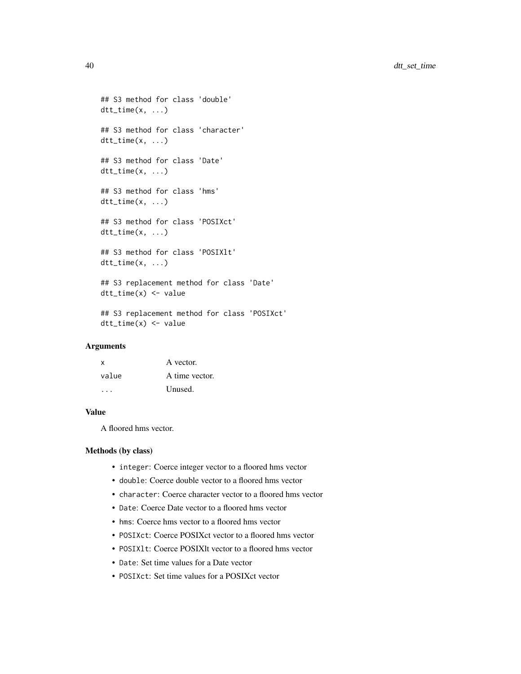```
## S3 method for class 'double'
dt<sub>L</sub>time(x, \ldots)## S3 method for class 'character'
dtt_time(x, ...)
## S3 method for class 'Date'
dt_time(x, \ldots)## S3 method for class 'hms'
dt<sub>L</sub>time(x, ...)
## S3 method for class 'POSIXct'
dtt_time(x, ...)
## S3 method for class 'POSIXlt'
dt<sub>L</sub>time(x, \ldots)## S3 replacement method for class 'Date'
dtt_time(x) <- value
```

```
## S3 replacement method for class 'POSIXct'
dtt_time(x) <- value
```
# Arguments

| x     | A vector.      |
|-------|----------------|
| value | A time vector. |
|       | Unused.        |

#### Value

A floored hms vector.

#### Methods (by class)

- integer: Coerce integer vector to a floored hms vector
- double: Coerce double vector to a floored hms vector
- character: Coerce character vector to a floored hms vector
- Date: Coerce Date vector to a floored hms vector
- hms: Coerce hms vector to a floored hms vector
- POSIXct: Coerce POSIXct vector to a floored hms vector
- POSIXlt: Coerce POSIXlt vector to a floored hms vector
- Date: Set time values for a Date vector
- POSIXct: Set time values for a POSIXct vector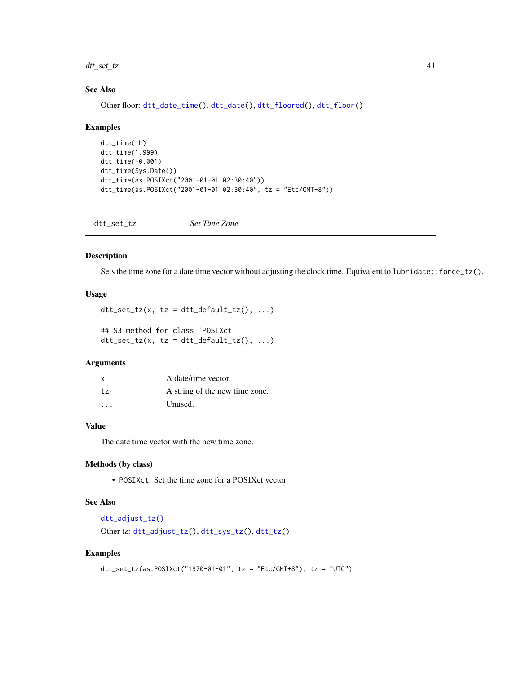<span id="page-40-0"></span>dtt\_set\_tz 41

#### See Also

Other floor: [dtt\\_date\\_time\(](#page-12-2)), [dtt\\_date\(](#page-10-1)), [dtt\\_floored\(](#page-25-1)), [dtt\\_floor\(](#page-24-1))

#### Examples

```
dtt_time(1L)
dtt_time(1.999)
dtt_time(-0.001)
dtt_time(Sys.Date())
dtt_time(as.POSIXct("2001-01-01 02:30:40"))
dtt_time(as.POSIXct("2001-01-01 02:30:40", tz = "Etc/GMT-8"))
```
<span id="page-40-1"></span>dtt\_set\_tz *Set Time Zone*

#### Description

Sets the time zone for a date time vector without adjusting the clock time. Equivalent to lubridate::force\_tz().

#### Usage

```
dt<sub>_set_tz</sub>(x, tz = dtt_default_tz(), ...)
## S3 method for class 'POSIXct'
dt<sub>L</sub>set_tz(x, tz = dtt_default_tz(), ...)
```
#### Arguments

| $\mathsf{x}$ | A date/time vector.            |
|--------------|--------------------------------|
| $t_{7}$      | A string of the new time zone. |
| $\cdot$      | Unused.                        |

# Value

The date time vector with the new time zone.

#### Methods (by class)

• POSIXct: Set the time zone for a POSIXct vector

# See Also

```
dtt_adjust_tz()
Other tz: dtt_adjust_tz(), dtt_sys_tz(), dtt_tz()
```
# Examples

```
dtt_set_tz(as.POSIXct("1970-01-01", tz = "Etc/GMT+8"), tz = "UTC")
```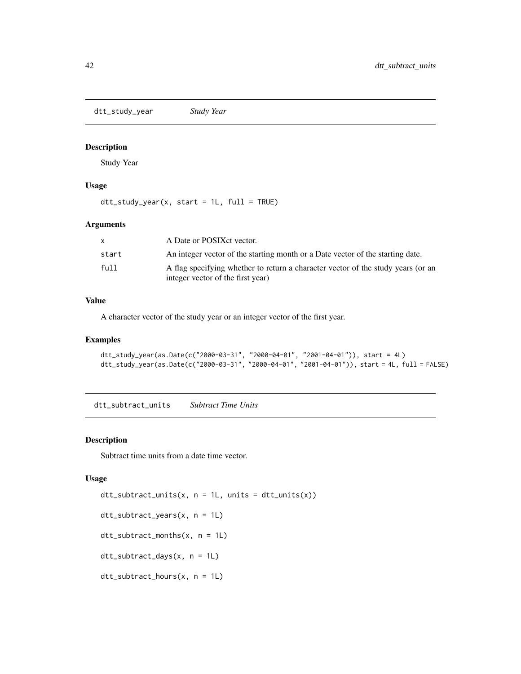<span id="page-41-0"></span>dtt\_study\_year *Study Year*

#### Description

Study Year

#### Usage

 $dt$ <sub>L</sub>study\_year(x, start = 1L, full = TRUE)

#### Arguments

| X.    | A Date or POSIX et vector.                                                                                            |
|-------|-----------------------------------------------------------------------------------------------------------------------|
| start | An integer vector of the starting month or a Date vector of the starting date.                                        |
| full  | A flag specifying whether to return a character vector of the study years (or an<br>integer vector of the first year) |

#### Value

A character vector of the study year or an integer vector of the first year.

# Examples

```
dtt_study_year(as.Date(c("2000-03-31", "2000-04-01", "2001-04-01")), start = 4L)
dtt_study_year(as.Date(c("2000-03-31", "2000-04-01", "2001-04-01")), start = 4L, full = FALSE)
```
<span id="page-41-1"></span>dtt\_subtract\_units *Subtract Time Units*

#### Description

Subtract time units from a date time vector.

#### Usage

```
dt_subtract_units(x, n = 1L, units = dt_units(x))
dtt_subtract_years(x, n = 1L)
dtt_subtract_months(x, n = 1L)
dtt_subtract_days(x, n = 1L)
dtt_subtract_hours(x, n = 1L)
```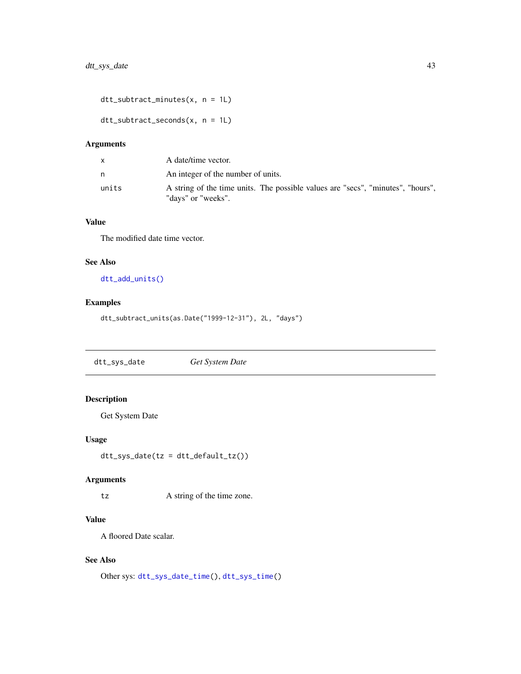<span id="page-42-0"></span>dtt\_subtract\_minutes(x, n = 1L)

dtt\_subtract\_seconds(x, n = 1L)

# Arguments

|       | A date/time vector.                                                                                   |
|-------|-------------------------------------------------------------------------------------------------------|
| n     | An integer of the number of units.                                                                    |
| units | A string of the time units. The possible values are "secs", "minutes", "hours",<br>"days" or "weeks". |

# Value

The modified date time vector.

# See Also

[dtt\\_add\\_units\(\)](#page-4-1)

# Examples

```
dtt_subtract_units(as.Date("1999-12-31"), 2L, "days")
```
<span id="page-42-1"></span>dtt\_sys\_date *Get System Date*

# Description

Get System Date

# Usage

dtt\_sys\_date(tz = dtt\_default\_tz())

#### Arguments

tz A string of the time zone.

# Value

A floored Date scalar.

# See Also

```
Other sys: dtt_sys_date_time(), dtt_sys_time()
```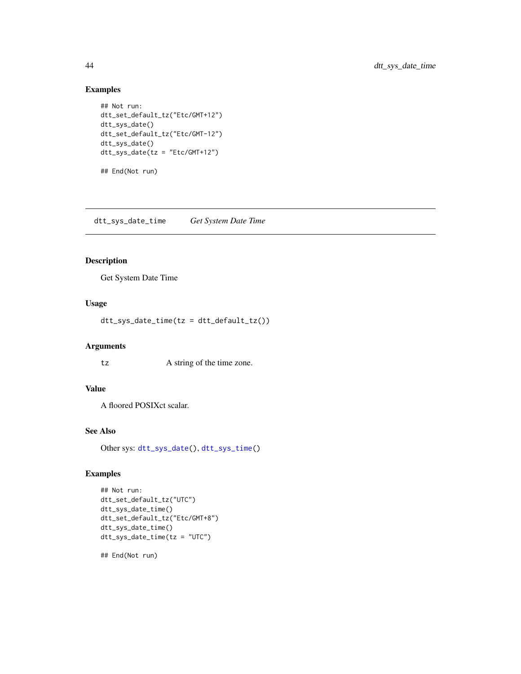# Examples

```
## Not run:
dtt_set_default_tz("Etc/GMT+12")
dtt_sys_date()
dtt_set_default_tz("Etc/GMT-12")
dtt_sys_date()
dtt_sys_date(tz = "Etc/GMT+12")
```
## End(Not run)

<span id="page-43-1"></span>dtt\_sys\_date\_time *Get System Date Time*

# Description

Get System Date Time

# Usage

dtt\_sys\_date\_time(tz = dtt\_default\_tz())

#### Arguments

tz A string of the time zone.

# Value

A floored POSIXct scalar.

# See Also

Other sys: [dtt\\_sys\\_date\(](#page-42-1)), [dtt\\_sys\\_time\(](#page-44-2))

#### Examples

```
## Not run:
dtt_set_default_tz("UTC")
dtt_sys_date_time()
dtt_set_default_tz("Etc/GMT+8")
dtt_sys_date_time()
dtt_sys_date_time(tz = "UTC")
```
## End(Not run)

<span id="page-43-0"></span>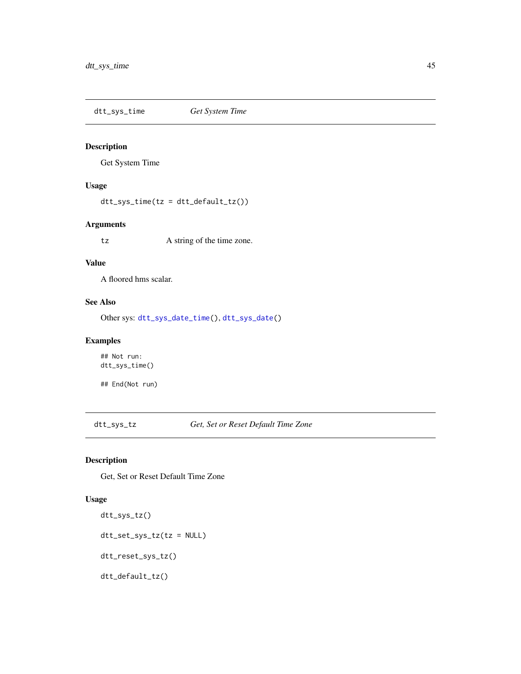<span id="page-44-2"></span><span id="page-44-0"></span>dtt\_sys\_time *Get System Time*

# Description

Get System Time

# Usage

dtt\_sys\_time(tz = dtt\_default\_tz())

#### Arguments

tz A string of the time zone.

#### Value

A floored hms scalar.

#### See Also

Other sys: [dtt\\_sys\\_date\\_time\(](#page-43-1)), [dtt\\_sys\\_date\(](#page-42-1))

# Examples

## Not run: dtt\_sys\_time()

## End(Not run)

<span id="page-44-1"></span>dtt\_sys\_tz *Get, Set or Reset Default Time Zone*

#### Description

Get, Set or Reset Default Time Zone

#### Usage

```
dtt_sys_tz()
dtt_set_sys_tz(tz = NULL)
dtt_reset_sys_tz()
dtt_default_tz()
```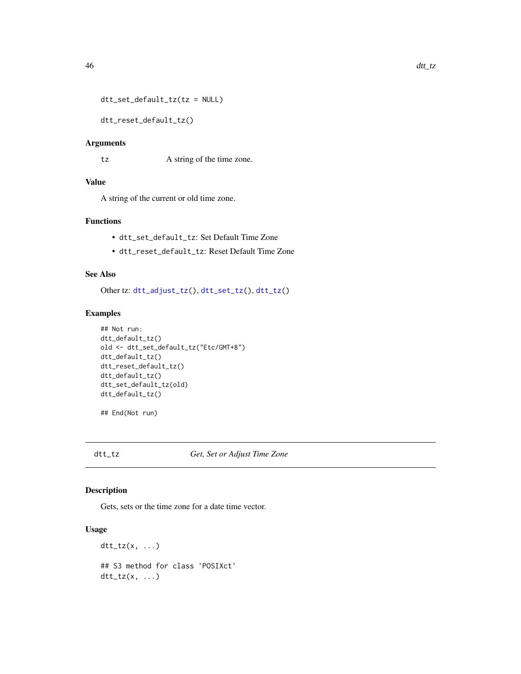```
dtt_set_default_tz(tz = NULL)
```
dtt\_reset\_default\_tz()

#### Arguments

tz A string of the time zone.

#### Value

A string of the current or old time zone.

# Functions

- dtt\_set\_default\_tz: Set Default Time Zone
- dtt\_reset\_default\_tz: Reset Default Time Zone

#### See Also

Other tz: [dtt\\_adjust\\_tz\(](#page-5-1)), [dtt\\_set\\_tz\(](#page-40-1)), [dtt\\_tz\(](#page-45-1))

# Examples

```
## Not run:
dtt_default_tz()
old <- dtt_set_default_tz("Etc/GMT+8")
dtt_default_tz()
dtt_reset_default_tz()
dtt_default_tz()
dtt_set_default_tz(old)
dtt_default_tz()
```
## End(Not run)

# <span id="page-45-1"></span>dtt\_tz *Get, Set or Adjust Time Zone*

#### Description

Gets, sets or the time zone for a date time vector.

#### Usage

```
dt_{t}tz(x, \ldots)## S3 method for class 'POSIXct'
dt_t_tz(x, \ldots)
```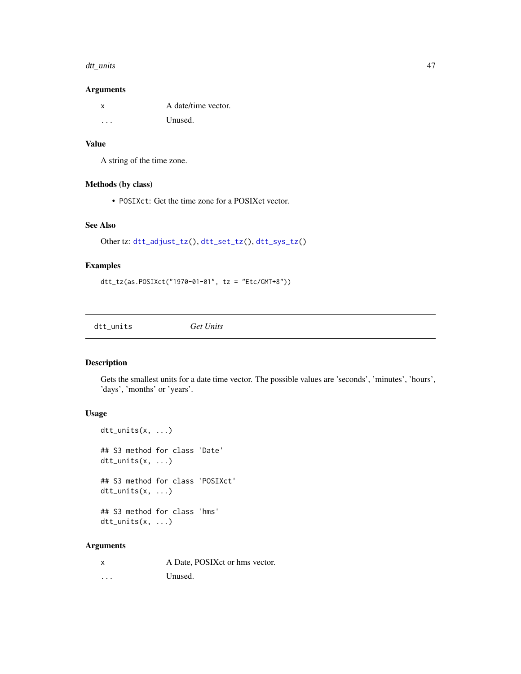#### <span id="page-46-0"></span>dtt\_units 47

#### Arguments

| x | A date/time vector. |
|---|---------------------|
| . | Unused.             |

#### Value

A string of the time zone.

# Methods (by class)

• POSIXct: Get the time zone for a POSIXct vector.

#### See Also

```
Other tz: dtt_adjust_tz(), dtt_set_tz(), dtt_sys_tz()
```
# Examples

```
dtt_tz(as.POSIXct("1970-01-01", tz = "Etc/GMT+8"))
```
<span id="page-46-1"></span>dtt\_units *Get Units*

#### Description

Gets the smallest units for a date time vector. The possible values are 'seconds', 'minutes', 'hours', 'days', 'months' or 'years'.

#### Usage

```
dtt_units(x, ...)
## S3 method for class 'Date'
dtt_units(x, ...)
## S3 method for class 'POSIXct'
dtt_units(x, ...)
## S3 method for class 'hms'
dtt_units(x, ...)
```
# Arguments

|          | A Date, POSIX ct or hms vector. |
|----------|---------------------------------|
| $\cdots$ | Unused.                         |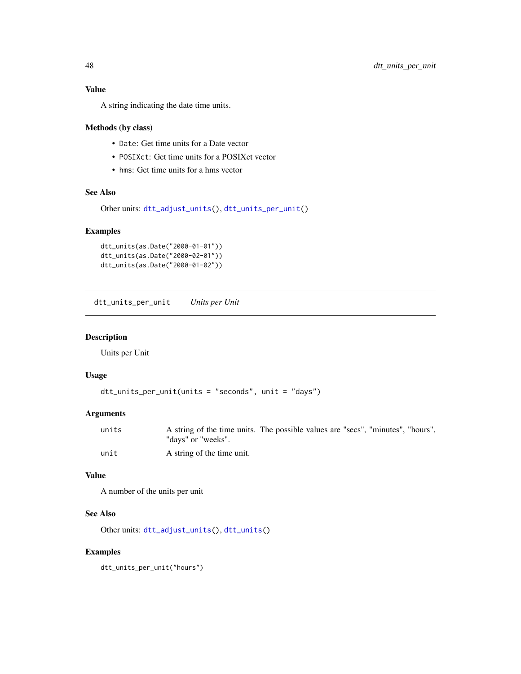<span id="page-47-0"></span>A string indicating the date time units.

#### Methods (by class)

- Date: Get time units for a Date vector
- POSIXct: Get time units for a POSIXct vector
- hms: Get time units for a hms vector

# See Also

```
Other units: dtt_adjust_units(), dtt_units_per_unit()
```
#### Examples

```
dtt_units(as.Date("2000-01-01"))
dtt_units(as.Date("2000-02-01"))
dtt_units(as.Date("2000-01-02"))
```
<span id="page-47-1"></span>dtt\_units\_per\_unit *Units per Unit*

#### Description

Units per Unit

# Usage

```
dtt_units_per_unit(units = "seconds", unit = "days")
```
# Arguments

| units | A string of the time units. The possible values are "secs", "minutes", "hours", |
|-------|---------------------------------------------------------------------------------|
|       | "davs" or "weeks".                                                              |
| unit  | A string of the time unit.                                                      |

#### Value

A number of the units per unit

#### See Also

Other units: [dtt\\_adjust\\_units\(](#page-6-1)), [dtt\\_units\(](#page-46-1))

# Examples

dtt\_units\_per\_unit("hours")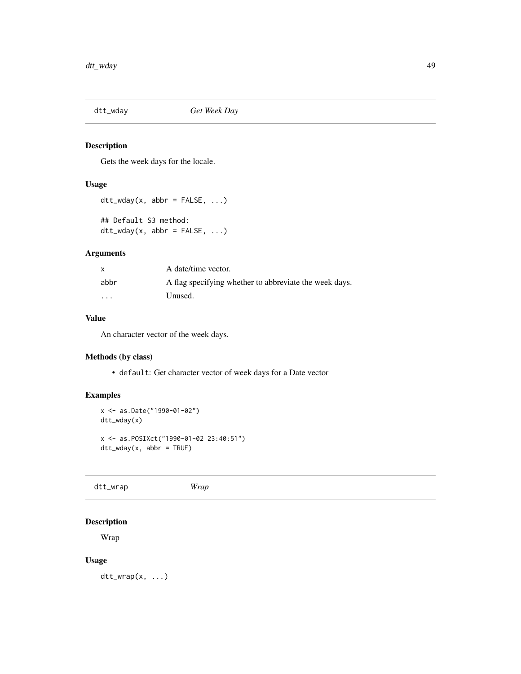<span id="page-48-0"></span>

# Description

Gets the week days for the locale.

# Usage

```
dt<sub>_</sub>wday(x, abbr = FALSE, ...)
## Default S3 method:
dt<sub>-</sub>wday(x, abbr = FALSE, ...)
```
#### Arguments

|                         | A date/time vector.                                    |
|-------------------------|--------------------------------------------------------|
| abbr                    | A flag specifying whether to abbreviate the week days. |
| $\cdot$ $\cdot$ $\cdot$ | Unused.                                                |

# Value

An character vector of the week days.

# Methods (by class)

• default: Get character vector of week days for a Date vector

# Examples

```
x <- as.Date("1990-01-02")
dtt_wday(x)
x <- as.POSIXct("1990-01-02 23:40:51")
dtt_wday(x, abbr = TRUE)
```
dtt\_wrap *Wrap*

# Description

Wrap

# Usage

 $dt$ <sub>L</sub>wrap $(x, \ldots)$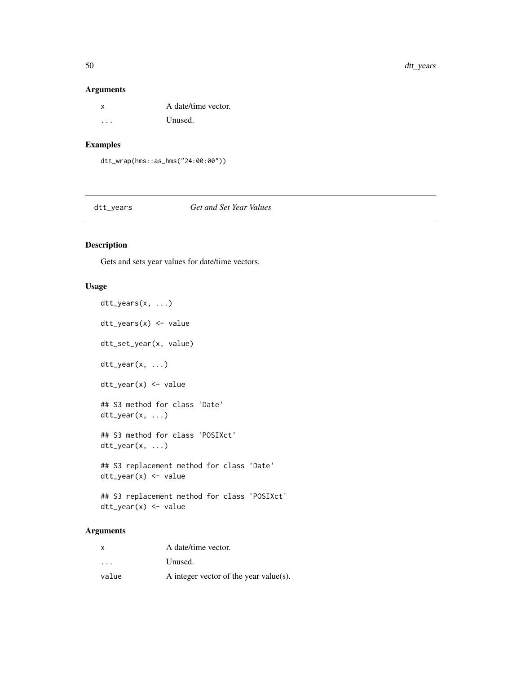# Arguments

| X. | A date/time vector. |
|----|---------------------|
| .  | Unused.             |

# Examples

dtt\_wrap(hms::as\_hms("24:00:00"))

<span id="page-49-1"></span>dtt\_years *Get and Set Year Values*

# <span id="page-49-2"></span>Description

Gets and sets year values for date/time vectors.

# Usage

dtt\_years(x, ...) dtt\_years(x) <- value dtt\_set\_year(x, value) dtt\_year(x, ...) dtt\_year(x) <- value ## S3 method for class 'Date' dtt\_year(x, ...) ## S3 method for class 'POSIXct' dtt\_year(x, ...) ## S3 replacement method for class 'Date' dtt\_year(x) <- value ## S3 replacement method for class 'POSIXct' dtt\_year(x) <- value

# Arguments

| x                       | A date/time vector.                    |
|-------------------------|----------------------------------------|
| $\cdot$ $\cdot$ $\cdot$ | Unused.                                |
| value                   | A integer vector of the year value(s). |

<span id="page-49-0"></span>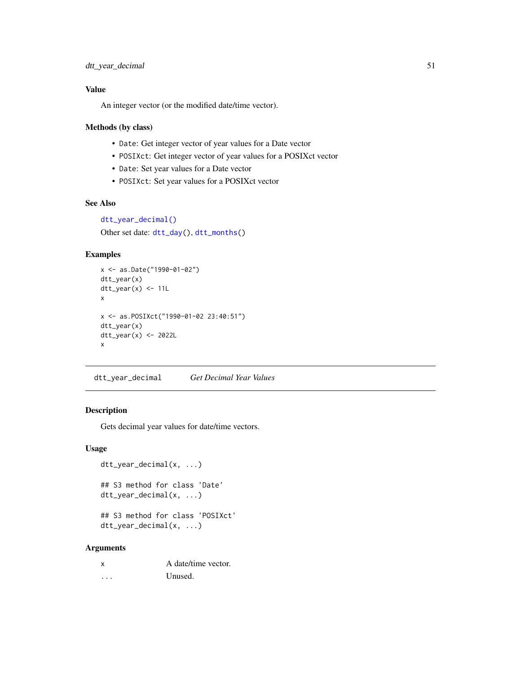# <span id="page-50-0"></span>Value

An integer vector (or the modified date/time vector).

#### Methods (by class)

- Date: Get integer vector of year values for a Date vector
- POSIXct: Get integer vector of year values for a POSIXct vector
- Date: Set year values for a Date vector
- POSIXct: Set year values for a POSIXct vector

#### See Also

```
dtt_year_decimal()
```
Other set date: [dtt\\_day\(](#page-14-1)), [dtt\\_months\(](#page-33-1))

#### Examples

```
x <- as.Date("1990-01-02")
dtt_year(x)
dtt_year(x) <- 11L
x
x <- as.POSIXct("1990-01-02 23:40:51")
dtt_year(x)
dtt_year(x) <- 2022L
x
```
<span id="page-50-1"></span>dtt\_year\_decimal *Get Decimal Year Values*

#### Description

Gets decimal year values for date/time vectors.

#### Usage

```
dtt_year_decimal(x, ...)
```

```
## S3 method for class 'Date'
dtt_year_decimal(x, ...)
```
## S3 method for class 'POSIXct' dtt\_year\_decimal(x, ...)

#### Arguments

| x | A date/time vector. |
|---|---------------------|
| . | Unused.             |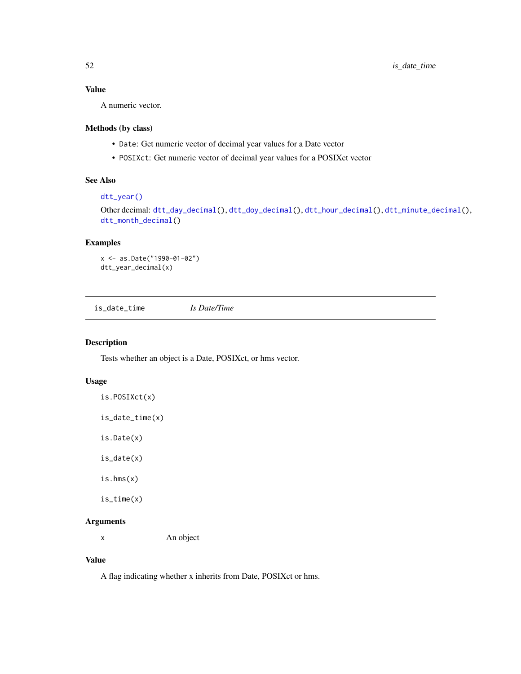# <span id="page-51-0"></span>Value

A numeric vector.

# Methods (by class)

- Date: Get numeric vector of decimal year values for a Date vector
- POSIXct: Get numeric vector of decimal year values for a POSIXct vector

# See Also

# [dtt\\_year\(\)](#page-49-2)

Other decimal: [dtt\\_day\\_decimal\(](#page-19-1)), [dtt\\_doy\\_decimal\(](#page-22-2)), [dtt\\_hour\\_decimal\(](#page-27-1)), [dtt\\_minute\\_decimal\(](#page-32-1)), [dtt\\_month\\_decimal\(](#page-34-1))

# Examples

```
x <- as.Date("1990-01-02")
dtt_year_decimal(x)
```
<span id="page-51-1"></span>is\_date\_time *Is Date/Time*

#### Description

Tests whether an object is a Date, POSIXct, or hms vector.

#### Usage

```
is.POSIXct(x)
```
is\_date\_time(x)

is.Date(x)

is\_date(x)

is.hms(x)

is\_time(x)

# Arguments

x An object

#### Value

A flag indicating whether x inherits from Date, POSIXct or hms.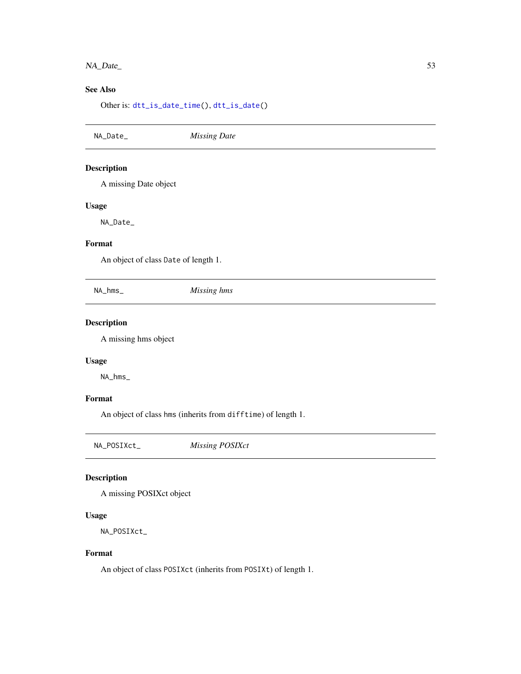# <span id="page-52-0"></span>NA\_Date\_ 53

# See Also

Other is: [dtt\\_is\\_date\\_time\(](#page-29-1)), [dtt\\_is\\_date\(](#page-28-1))

NA\_Date\_ *Missing Date* Description A missing Date object Usage NA\_Date\_ Format An object of class Date of length 1. NA\_hms\_ *Missing hms* Description A missing hms object

# Usage

NA\_hms\_

# Format

An object of class hms (inherits from difftime) of length 1.

NA\_POSIXct\_ *Missing POSIXct*

# Description

A missing POSIXct object

#### Usage

NA\_POSIXct\_

#### Format

An object of class POSIXct (inherits from POSIXt) of length 1.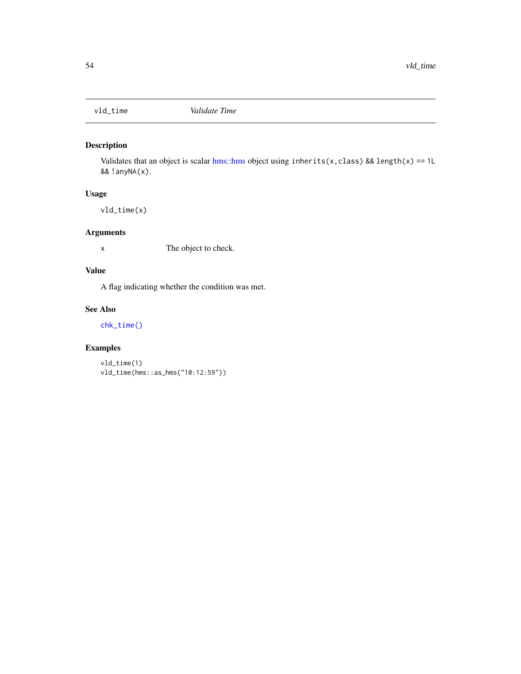<span id="page-53-1"></span><span id="page-53-0"></span>

# Description

Validates that an object is scalar [hms::hms](#page-0-0) object using inherits(x, class) && length(x) == 1L && !anyNA(x).

# Usage

vld\_time(x)

# Arguments

x The object to check.

# Value

A flag indicating whether the condition was met.

# See Also

[chk\\_time\(\)](#page-3-1)

# Examples

vld\_time(1) vld\_time(hms::as\_hms("10:12:59"))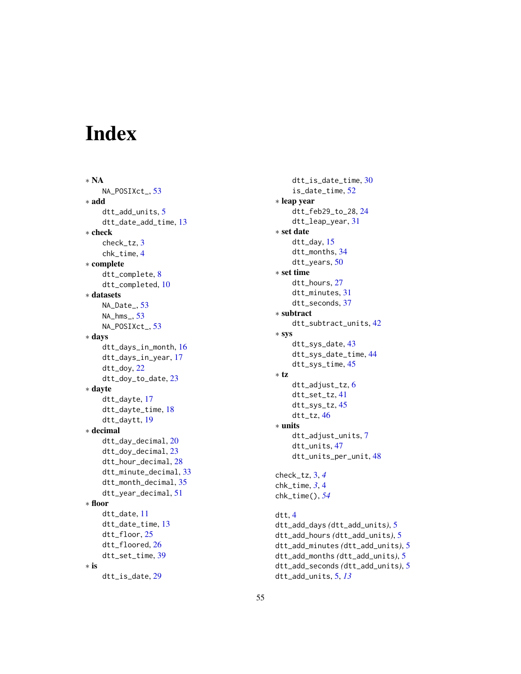# <span id="page-54-0"></span>Index

∗ NA NA\_POSIXct\_, [53](#page-52-0) ∗ add dtt\_add\_units , [5](#page-4-0) dtt\_date\_add\_time , [13](#page-12-0) ∗ check check\_tz , [3](#page-2-0) chk\_time , [4](#page-3-0) ∗ complete dtt\_complete , [8](#page-7-0) dtt\_completed , [10](#page-9-0) ∗ datasets NA\_Date<sub>,[53](#page-52-0)</sub> NA\_hms\_ , [53](#page-52-0) NA\_POSIXct\_, [53](#page-52-0) ∗ days dtt\_days\_in\_month , [16](#page-15-0) dtt\_days\_in\_year , [17](#page-16-0) dtt\_doy , [22](#page-21-0) dtt\_doy\_to\_date , [23](#page-22-0) ∗ dayte dtt\_dayte , [17](#page-16-0) dtt\_dayte\_time , [18](#page-17-0) dtt\_daytt , [19](#page-18-0) ∗ decimal dtt\_day\_decimal , [20](#page-19-0) dtt\_doy\_decimal , [23](#page-22-0) dtt\_hour\_decimal , [28](#page-27-0) dtt\_minute\_decimal , [33](#page-32-0) dtt\_month\_decimal , [35](#page-34-0) dtt\_year\_decimal , [51](#page-50-0) ∗ floor dtt\_date , [11](#page-10-0) dtt\_date\_time , [13](#page-12-0) dtt\_floor , [25](#page-24-0) dtt\_floored , [26](#page-25-0) dtt\_set\_time , [39](#page-38-0) ∗ is dtt\_is\_date , [29](#page-28-0)

dtt\_is\_date\_time , [30](#page-29-0) is\_date\_time , [52](#page-51-0) ∗ leap year dtt\_feb29\_to\_28 , [24](#page-23-0) dtt\_leap\_year , [31](#page-30-0) ∗ set date dtt\_day , [15](#page-14-0) dtt\_months , [34](#page-33-0) dtt\_years , [50](#page-49-0) ∗ set time dtt\_hours , [27](#page-26-0) dtt\_minutes , [31](#page-30-0) dtt\_seconds , [37](#page-36-0) ∗ subtract dtt\_subtract\_units , [42](#page-41-0) ∗ sys dtt\_sys\_date , [43](#page-42-0) dtt\_sys\_date\_time , [44](#page-43-0) dtt\_sys\_time , [45](#page-44-0) ∗ tz dtt\_adjust\_tz , [6](#page-5-0) dtt\_set\_tz , [41](#page-40-0) dtt\_sys\_tz , [45](#page-44-0) dtt\_tz , [46](#page-45-0) ∗ units dtt\_adjust\_units , [7](#page-6-0) dtt\_units , [47](#page-46-0) dtt\_units\_per\_unit , [48](#page-47-0) check\_tz , [3](#page-2-0) , *[4](#page-3-0)* chk\_time , *[3](#page-2-0)* , [4](#page-3-0) chk\_time() , *[54](#page-53-0)* dtt , [4](#page-3-0) dtt\_add\_days *(*dtt\_add\_units *)* , [5](#page-4-0) dtt\_add\_hours *(*dtt\_add\_units *)* , [5](#page-4-0) dtt\_add\_minutes *(*dtt\_add\_units *)* , [5](#page-4-0) dtt\_add\_months *(*dtt\_add\_units *)* , [5](#page-4-0) dtt\_add\_seconds *(*dtt\_add\_units *)* , [5](#page-4-0)

dtt\_add\_units , [5](#page-4-0) , *[13](#page-12-0)*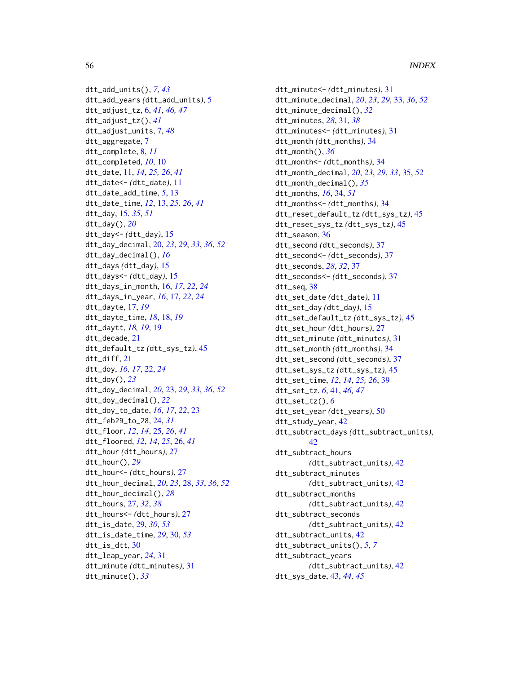dtt\_add\_units(), *[7](#page-6-0)*, *[43](#page-42-0)* dtt\_add\_years *(*dtt\_add\_units*)*, [5](#page-4-0) dtt\_adjust\_tz, [6,](#page-5-0) *[41](#page-40-0)*, *[46,](#page-45-0) [47](#page-46-0)* dtt\_adjust\_tz(), *[41](#page-40-0)* dtt\_adjust\_units, [7,](#page-6-0) *[48](#page-47-0)* dtt\_aggregate, [7](#page-6-0) dtt\_complete, [8,](#page-7-0) *[11](#page-10-0)* dtt\_completed, *[10](#page-9-0)*, [10](#page-9-0) dtt\_date, [11,](#page-10-0) *[14](#page-13-0)*, *[25,](#page-24-0) [26](#page-25-0)*, *[41](#page-40-0)* dtt\_date<- *(*dtt\_date*)*, [11](#page-10-0) dtt\_date\_add\_time, *[5](#page-4-0)*, [13](#page-12-0) dtt\_date\_time, *[12](#page-11-0)*, [13,](#page-12-0) *[25,](#page-24-0) [26](#page-25-0)*, *[41](#page-40-0)* dtt\_day, [15,](#page-14-0) *[35](#page-34-0)*, *[51](#page-50-0)* dtt\_day(), *[20](#page-19-0)* dtt\_day<- *(*dtt\_day*)*, [15](#page-14-0) dtt\_day\_decimal, [20,](#page-19-0) *[23](#page-22-0)*, *[29](#page-28-0)*, *[33](#page-32-0)*, *[36](#page-35-0)*, *[52](#page-51-0)* dtt\_day\_decimal(), *[16](#page-15-0)* dtt\_days *(*dtt\_day*)*, [15](#page-14-0) dtt\_days<- *(*dtt\_day*)*, [15](#page-14-0) dtt\_days\_in\_month, [16,](#page-15-0) *[17](#page-16-0)*, *[22](#page-21-0)*, *[24](#page-23-0)* dtt\_days\_in\_year, *[16](#page-15-0)*, [17,](#page-16-0) *[22](#page-21-0)*, *[24](#page-23-0)* dtt\_dayte, [17,](#page-16-0) *[19](#page-18-0)* dtt\_dayte\_time, *[18](#page-17-0)*, [18,](#page-17-0) *[19](#page-18-0)* dtt\_daytt, *[18,](#page-17-0) [19](#page-18-0)*, [19](#page-18-0) dtt\_decade, [21](#page-20-0) dtt\_default\_tz *(*dtt\_sys\_tz*)*, [45](#page-44-0) dtt\_diff, [21](#page-20-0) dtt\_doy, *[16,](#page-15-0) [17](#page-16-0)*, [22,](#page-21-0) *[24](#page-23-0)* dtt\_doy(), *[23](#page-22-0)* dtt\_doy\_decimal, *[20](#page-19-0)*, [23,](#page-22-0) *[29](#page-28-0)*, *[33](#page-32-0)*, *[36](#page-35-0)*, *[52](#page-51-0)* dtt\_doy\_decimal(), *[22](#page-21-0)* dtt\_doy\_to\_date, *[16,](#page-15-0) [17](#page-16-0)*, *[22](#page-21-0)*, [23](#page-22-0) dtt\_feb29\_to\_28, [24,](#page-23-0) *[31](#page-30-0)* dtt\_floor, *[12](#page-11-0)*, *[14](#page-13-0)*, [25,](#page-24-0) *[26](#page-25-0)*, *[41](#page-40-0)* dtt\_floored, *[12](#page-11-0)*, *[14](#page-13-0)*, *[25](#page-24-0)*, [26,](#page-25-0) *[41](#page-40-0)* dtt\_hour *(*dtt\_hours*)*, [27](#page-26-0) dtt\_hour(), *[29](#page-28-0)* dtt\_hour<- *(*dtt\_hours*)*, [27](#page-26-0) dtt\_hour\_decimal, *[20](#page-19-0)*, *[23](#page-22-0)*, [28,](#page-27-0) *[33](#page-32-0)*, *[36](#page-35-0)*, *[52](#page-51-0)* dtt\_hour\_decimal(), *[28](#page-27-0)* dtt\_hours, [27,](#page-26-0) *[32](#page-31-0)*, *[38](#page-37-0)* dtt\_hours<- *(*dtt\_hours*)*, [27](#page-26-0) dtt\_is\_date, [29,](#page-28-0) *[30](#page-29-0)*, *[53](#page-52-0)* dtt\_is\_date\_time, *[29](#page-28-0)*, [30,](#page-29-0) *[53](#page-52-0)* dtt\_is\_dtt, [30](#page-29-0) dtt\_leap\_year, *[24](#page-23-0)*, [31](#page-30-0) dtt\_minute *(*dtt\_minutes*)*, [31](#page-30-0) dtt\_minute(), *[33](#page-32-0)*

dtt\_minute<- *(*dtt\_minutes*)*, [31](#page-30-0) dtt\_minute\_decimal, *[20](#page-19-0)*, *[23](#page-22-0)*, *[29](#page-28-0)*, [33,](#page-32-0) *[36](#page-35-0)*, *[52](#page-51-0)* dtt\_minute\_decimal(), *[32](#page-31-0)* dtt\_minutes, *[28](#page-27-0)*, [31,](#page-30-0) *[38](#page-37-0)* dtt\_minutes<- *(*dtt\_minutes*)*, [31](#page-30-0) dtt\_month *(*dtt\_months*)*, [34](#page-33-0) dtt\_month(), *[36](#page-35-0)* dtt\_month<- *(*dtt\_months*)*, [34](#page-33-0) dtt\_month\_decimal, *[20](#page-19-0)*, *[23](#page-22-0)*, *[29](#page-28-0)*, *[33](#page-32-0)*, [35,](#page-34-0) *[52](#page-51-0)* dtt\_month\_decimal(), *[35](#page-34-0)* dtt\_months, *[16](#page-15-0)*, [34,](#page-33-0) *[51](#page-50-0)* dtt\_months<- *(*dtt\_months*)*, [34](#page-33-0) dtt\_reset\_default\_tz *(*dtt\_sys\_tz*)*, [45](#page-44-0) dtt\_reset\_sys\_tz *(*dtt\_sys\_tz*)*, [45](#page-44-0) dtt\_season, [36](#page-35-0) dtt\_second *(*dtt\_seconds*)*, [37](#page-36-0) dtt\_second<- *(*dtt\_seconds*)*, [37](#page-36-0) dtt\_seconds, *[28](#page-27-0)*, *[32](#page-31-0)*, [37](#page-36-0) dtt\_seconds<- *(*dtt\_seconds*)*, [37](#page-36-0) dtt\_seq, [38](#page-37-0) dtt\_set\_date *(*dtt\_date*)*, [11](#page-10-0) dtt\_set\_day *(*dtt\_day*)*, [15](#page-14-0) dtt\_set\_default\_tz *(*dtt\_sys\_tz*)*, [45](#page-44-0) dtt\_set\_hour *(*dtt\_hours*)*, [27](#page-26-0) dtt\_set\_minute *(*dtt\_minutes*)*, [31](#page-30-0) dtt\_set\_month *(*dtt\_months*)*, [34](#page-33-0) dtt\_set\_second *(*dtt\_seconds*)*, [37](#page-36-0) dtt\_set\_sys\_tz *(*dtt\_sys\_tz*)*, [45](#page-44-0) dtt\_set\_time, *[12](#page-11-0)*, *[14](#page-13-0)*, *[25,](#page-24-0) [26](#page-25-0)*, [39](#page-38-0) dtt\_set\_tz, *[6](#page-5-0)*, [41,](#page-40-0) *[46,](#page-45-0) [47](#page-46-0)* dtt\_set\_tz(), *[6](#page-5-0)* dtt\_set\_year *(*dtt\_years*)*, [50](#page-49-0) dtt\_study\_year, [42](#page-41-0) dtt\_subtract\_days *(*dtt\_subtract\_units*)*, [42](#page-41-0) dtt\_subtract\_hours *(*dtt\_subtract\_units*)*, [42](#page-41-0) dtt\_subtract\_minutes *(*dtt\_subtract\_units*)*, [42](#page-41-0) dtt\_subtract\_months *(*dtt\_subtract\_units*)*, [42](#page-41-0) dtt\_subtract\_seconds *(*dtt\_subtract\_units*)*, [42](#page-41-0) dtt\_subtract\_units, [42](#page-41-0) dtt\_subtract\_units(), *[5](#page-4-0)*, *[7](#page-6-0)* dtt\_subtract\_years *(*dtt\_subtract\_units*)*, [42](#page-41-0) dtt\_sys\_date, [43,](#page-42-0) *[44,](#page-43-0) [45](#page-44-0)*